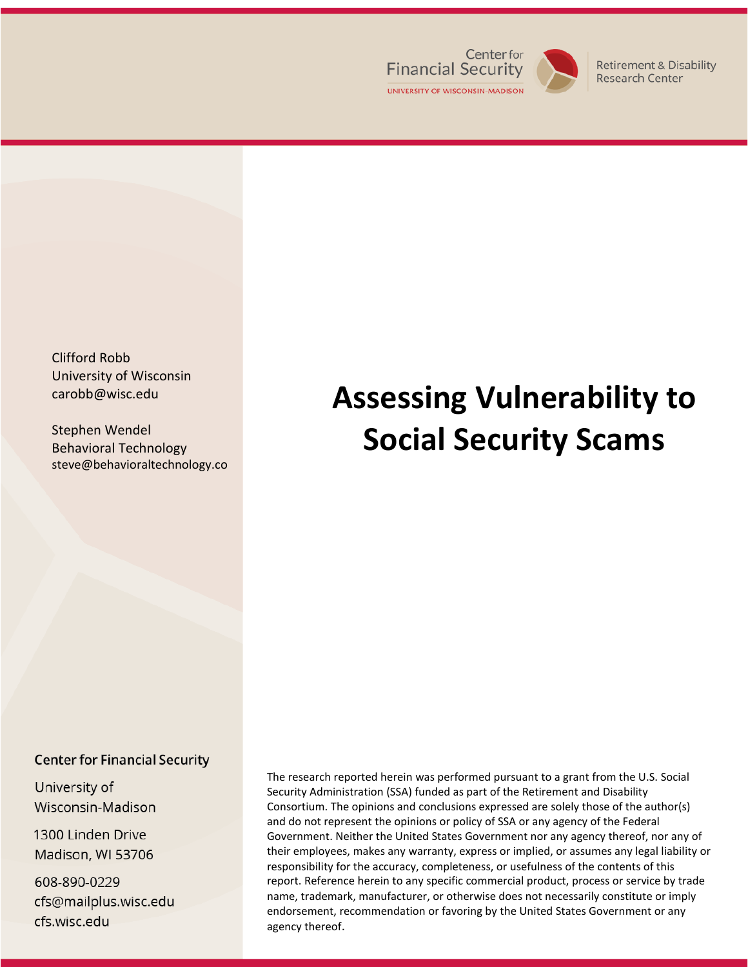

**Retirement & Disability Research Center** 

Clifford Robb University of Wisconsin-Madison carobb@wisc.edu

Stephen Wendel Behavioral Technology steve@behavioraltechnology.co

# **Assessing Vulnerability to Social Security Scams**

#### **Center for Financial Security**

University of Wisconsin-Madison

1300 Linden Drive Madison, WI 53706

608-890-0229 cfs@mailplus.wisc.edu cfs.wisc.edu

The research reported herein was performed pursuant to a grant from the U.S. Social Security Administration (SSA) funded as part of the Retirement and Disability Consortium. The opinions and conclusions expressed are solely those of the author(s) and do not represent the opinions or policy of SSA or any agency of the Federal Government. Neither the United States Government nor any agency thereof, nor any of their employees, makes any warranty, express or implied, or assumes any legal liability or responsibility for the accuracy, completeness, or usefulness of the contents of this report. Reference herein to any specific commercial product, process or service by trade name, trademark, manufacturer, or otherwise does not necessarily constitute or imply endorsement, recommendation or favoring by the United States Government or any agency thereof.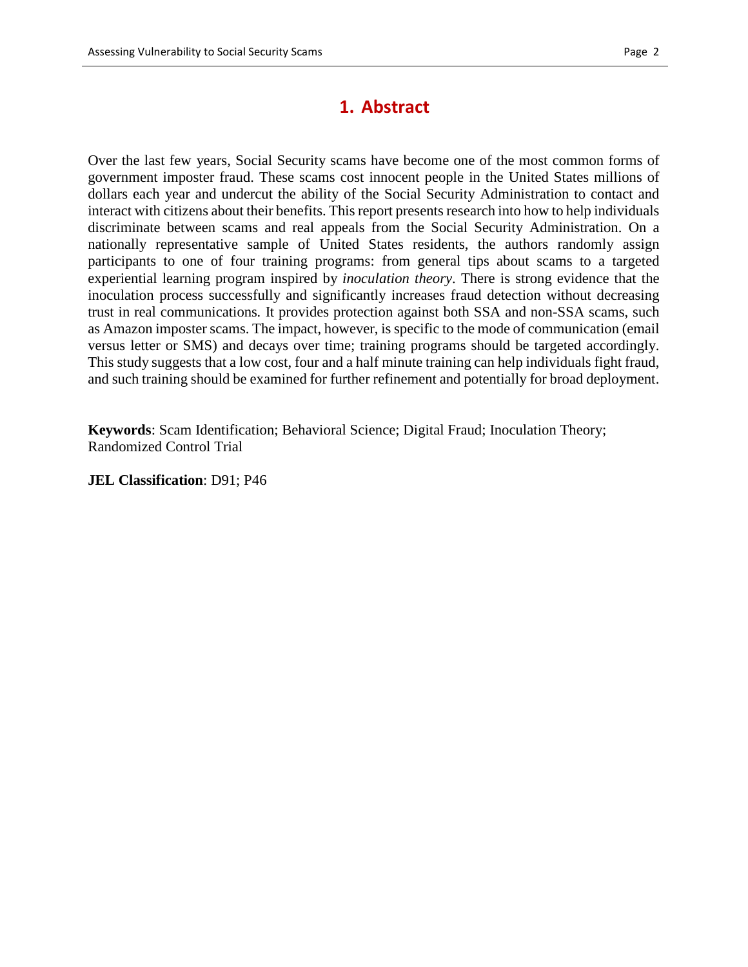# **1. Abstract**

Over the last few years, Social Security scams have become one of the most common forms of government imposter fraud. These scams cost innocent people in the United States millions of dollars each year and undercut the ability of the Social Security Administration to contact and interact with citizens about their benefits. This report presents research into how to help individuals discriminate between scams and real appeals from the Social Security Administration. On a nationally representative sample of United States residents, the authors randomly assign participants to one of four training programs: from general tips about scams to a targeted experiential learning program inspired by *inoculation theory*. There is strong evidence that the inoculation process successfully and significantly increases fraud detection without decreasing trust in real communications*.* It provides protection against both SSA and non-SSA scams, such as Amazon imposter scams. The impact, however, is specific to the mode of communication (email versus letter or SMS) and decays over time; training programs should be targeted accordingly. This study suggests that a low cost, four and a half minute training can help individuals fight fraud, and such training should be examined for further refinement and potentially for broad deployment.

**Keywords**: Scam Identification; Behavioral Science; Digital Fraud; Inoculation Theory; Randomized Control Trial

**JEL Classification**: D91; P46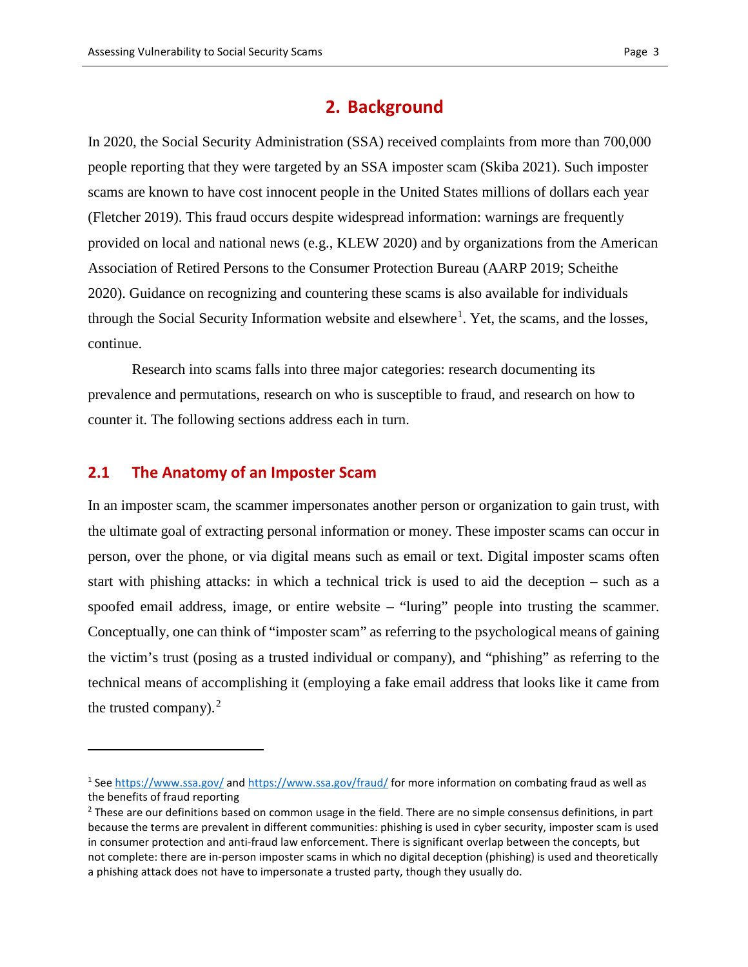### **2. Background**

In 2020, the Social Security Administration (SSA) received complaints from more than 700,000 people reporting that they were targeted by an SSA imposter scam (Skiba 2021). Such imposter scams are known to have cost innocent people in the United States millions of dollars each year (Fletcher 2019). This fraud occurs despite widespread information: warnings are frequently provided on local and national news (e.g., KLEW 2020) and by organizations from the American Association of Retired Persons to the Consumer Protection Bureau (AARP 2019; Scheithe 2020). Guidance on recognizing and countering these scams is also available for individuals through the Social Security Information website and elsewhere<sup>[1](#page-2-0)</sup>. Yet, the scams, and the losses, continue.

Research into scams falls into three major categories: research documenting its prevalence and permutations, research on who is susceptible to fraud, and research on how to counter it. The following sections address each in turn.

#### **2.1 The Anatomy of an Imposter Scam**

 $\overline{a}$ 

In an imposter scam, the scammer impersonates another person or organization to gain trust, with the ultimate goal of extracting personal information or money. These imposter scams can occur in person, over the phone, or via digital means such as email or text. Digital imposter scams often start with phishing attacks: in which a technical trick is used to aid the deception – such as a spoofed email address, image, or entire website – "luring" people into trusting the scammer. Conceptually, one can think of "imposter scam" as referring to the psychological means of gaining the victim's trust (posing as a trusted individual or company), and "phishing" as referring to the technical means of accomplishing it (employing a fake email address that looks like it came from the trusted company). $2$ 

<span id="page-2-0"></span><sup>1</sup> See<https://www.ssa.gov/> and<https://www.ssa.gov/fraud/> for more information on combating fraud as well as the benefits of fraud reporting

<span id="page-2-1"></span> $<sup>2</sup>$  These are our definitions based on common usage in the field. There are no simple consensus definitions, in part</sup> because the terms are prevalent in different communities: phishing is used in cyber security, imposter scam is used in consumer protection and anti-fraud law enforcement. There is significant overlap between the concepts, but not complete: there are in-person imposter scams in which no digital deception (phishing) is used and theoretically a phishing attack does not have to impersonate a trusted party, though they usually do.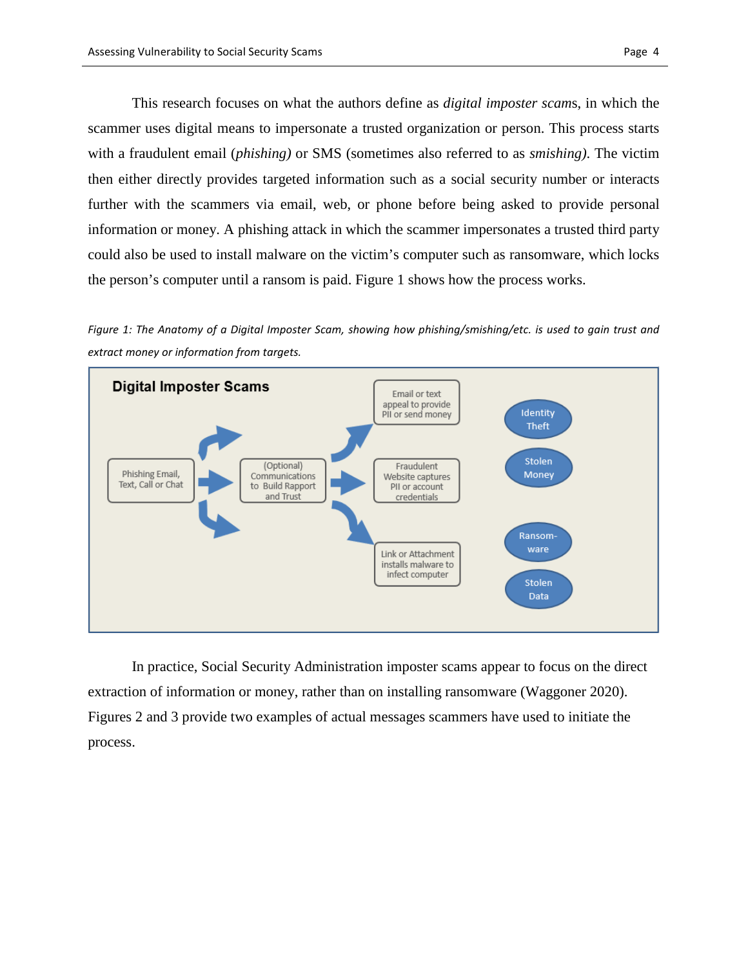This research focuses on what the authors define as *digital imposter scam*s, in which the scammer uses digital means to impersonate a trusted organization or person. This process starts with a fraudulent email (*phishing)* or SMS (sometimes also referred to as *smishing)*. The victim then either directly provides targeted information such as a social security number or interacts further with the scammers via email, web, or phone before being asked to provide personal information or money. A phishing attack in which the scammer impersonates a trusted third party could also be used to install malware on the victim's computer such as ransomware, which locks the person's computer until a ransom is paid. Figure 1 shows how the process works.

*Figure 1: The Anatomy of a Digital Imposter Scam, showing how phishing/smishing/etc. is used to gain trust and extract money or information from targets.*



In practice, Social Security Administration imposter scams appear to focus on the direct extraction of information or money, rather than on installing ransomware (Waggoner 2020). Figures 2 and 3 provide two examples of actual messages scammers have used to initiate the process.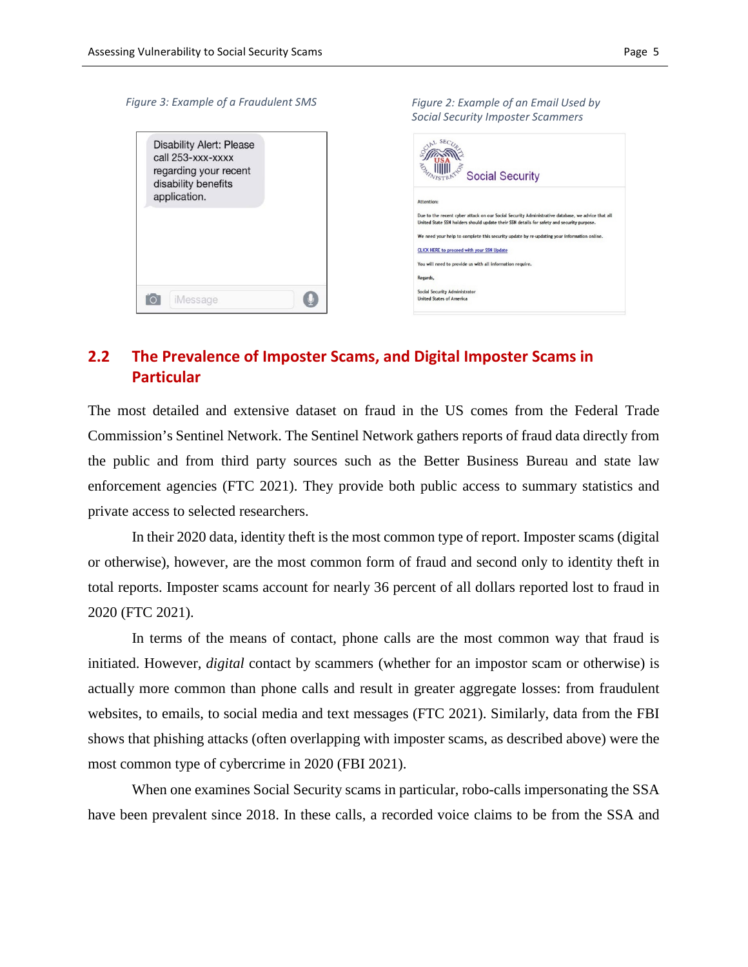#### *Figure 3: Example of a Fraudulent SMSFigure 2: Example of an Email Used by Social Security Imposter Scammers*  $L$  SEC<sub>z</sub> **Disability Alert: Please SALLAND** call 253-xxx-xxxx **WILL SE** regarding your recent **Social Security** disability benefits application. Due to the recent cyber attack on our Social Security Administrative database, we advice that all<br>United State SSN holders should update their SSN details for safety and security purpose. We need your help to complete this security update by re-updating your information online CLICK HERE to proceed with your SSN Update You will need to provide us with all information require. Regards, Social Security Administrator  $\bigcirc$ **FOT** | iMessage **United States of America**

## **2.2 The Prevalence of Imposter Scams, and Digital Imposter Scams in Particular**

The most detailed and extensive dataset on fraud in the US comes from the Federal Trade Commission's Sentinel Network. The Sentinel Network gathers reports of fraud data directly from the public and from third party sources such as the Better Business Bureau and state law enforcement agencies (FTC 2021). They provide both public access to summary statistics and private access to selected researchers.

In their 2020 data, identity theft is the most common type of report. Imposter scams (digital or otherwise), however, are the most common form of fraud and second only to identity theft in total reports. Imposter scams account for nearly 36 percent of all dollars reported lost to fraud in 2020 (FTC 2021).

In terms of the means of contact, phone calls are the most common way that fraud is initiated. However, *digital* contact by scammers (whether for an impostor scam or otherwise) is actually more common than phone calls and result in greater aggregate losses: from fraudulent websites, to emails, to social media and text messages (FTC 2021). Similarly, data from the FBI shows that phishing attacks (often overlapping with imposter scams, as described above) were the most common type of cybercrime in 2020 (FBI 2021).

When one examines Social Security scams in particular, robo-calls impersonating the SSA have been prevalent since 2018. In these calls, a recorded voice claims to be from the SSA and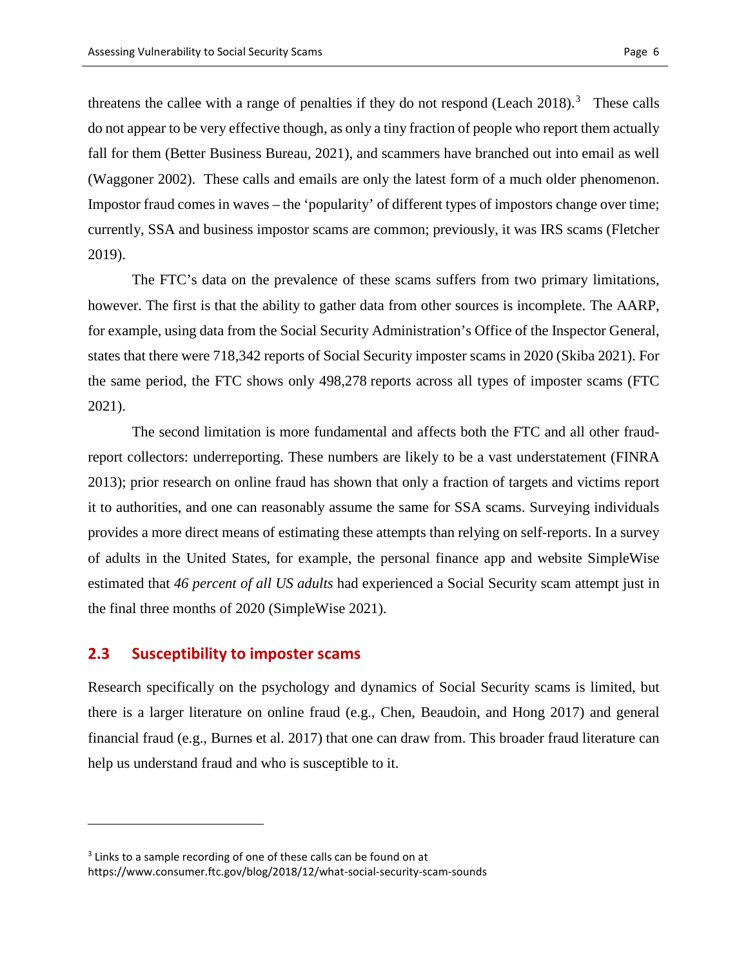threatens the callee with a range of penalties if they do not respond (Leach 2018).<sup>[3](#page-5-0)</sup> These calls do not appear to be very effective though, as only a tiny fraction of people who report them actually fall for them (Better Business Bureau, 2021), and scammers have branched out into email as well (Waggoner 2002). These calls and emails are only the latest form of a much older phenomenon. Impostor fraud comes in waves – the 'popularity' of different types of impostors change over time; currently, SSA and business impostor scams are common; previously, it was IRS scams (Fletcher 2019).

The FTC's data on the prevalence of these scams suffers from two primary limitations, however. The first is that the ability to gather data from other sources is incomplete. The AARP, for example, using data from the Social Security Administration's Office of the Inspector General, states that there were 718,342 reports of Social Security imposter scams in 2020 (Skiba 2021). For the same period, the FTC shows only 498,278 reports across all types of imposter scams (FTC 2021).

The second limitation is more fundamental and affects both the FTC and all other fraudreport collectors: underreporting. These numbers are likely to be a vast understatement (FINRA 2013); prior research on online fraud has shown that only a fraction of targets and victims report it to authorities, and one can reasonably assume the same for SSA scams. Surveying individuals provides a more direct means of estimating these attempts than relying on self-reports. In a survey of adults in the United States, for example, the personal finance app and website SimpleWise estimated that *46 percent of all US adults* had experienced a Social Security scam attempt just in the final three months of 2020 (SimpleWise 2021).

#### **2.3 Susceptibility to imposter scams**

 $\overline{a}$ 

Research specifically on the psychology and dynamics of Social Security scams is limited, but there is a larger literature on online fraud (e.g., Chen, Beaudoin, and Hong 2017) and general financial fraud (e.g., Burnes et al. 2017) that one can draw from. This broader fraud literature can help us understand fraud and who is susceptible to it.

<span id="page-5-0"></span><sup>&</sup>lt;sup>3</sup> Links to a sample recording of one of these calls can be found on at https://www.consumer.ftc.gov/blog/2018/12/what-social-security-scam-sounds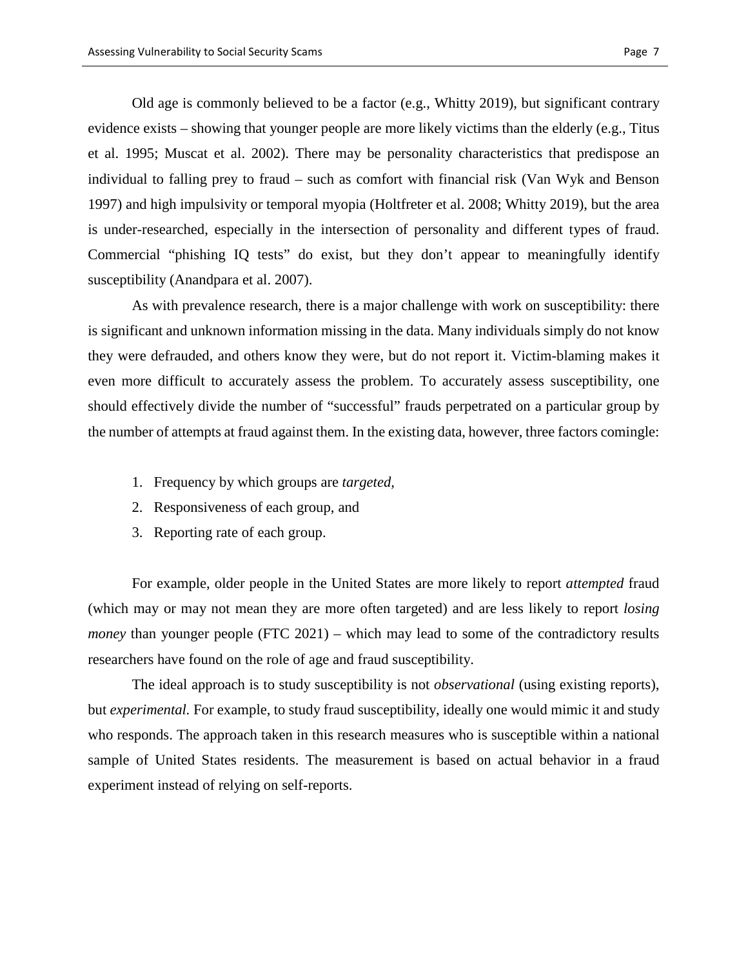Old age is commonly believed to be a factor (e.g., Whitty 2019), but significant contrary evidence exists – showing that younger people are more likely victims than the elderly (e.g., Titus et al. 1995; Muscat et al. 2002). There may be personality characteristics that predispose an individual to falling prey to fraud – such as comfort with financial risk (Van Wyk and Benson 1997) and high impulsivity or temporal myopia (Holtfreter et al. 2008; Whitty 2019), but the area is under-researched, especially in the intersection of personality and different types of fraud. Commercial "phishing IQ tests" do exist, but they don't appear to meaningfully identify susceptibility (Anandpara et al. 2007).

As with prevalence research, there is a major challenge with work on susceptibility: there is significant and unknown information missing in the data. Many individuals simply do not know they were defrauded, and others know they were, but do not report it. Victim-blaming makes it even more difficult to accurately assess the problem. To accurately assess susceptibility, one should effectively divide the number of "successful" frauds perpetrated on a particular group by the number of attempts at fraud against them. In the existing data, however, three factors comingle:

- 1. Frequency by which groups are *targeted,*
- 2. Responsiveness of each group, and
- 3. Reporting rate of each group.

For example, older people in the United States are more likely to report *attempted* fraud (which may or may not mean they are more often targeted) and are less likely to report *losing money* than younger people (FTC 2021) – which may lead to some of the contradictory results researchers have found on the role of age and fraud susceptibility.

The ideal approach is to study susceptibility is not *observational* (using existing reports), but *experimental.* For example, to study fraud susceptibility, ideally one would mimic it and study who responds. The approach taken in this research measures who is susceptible within a national sample of United States residents. The measurement is based on actual behavior in a fraud experiment instead of relying on self-reports.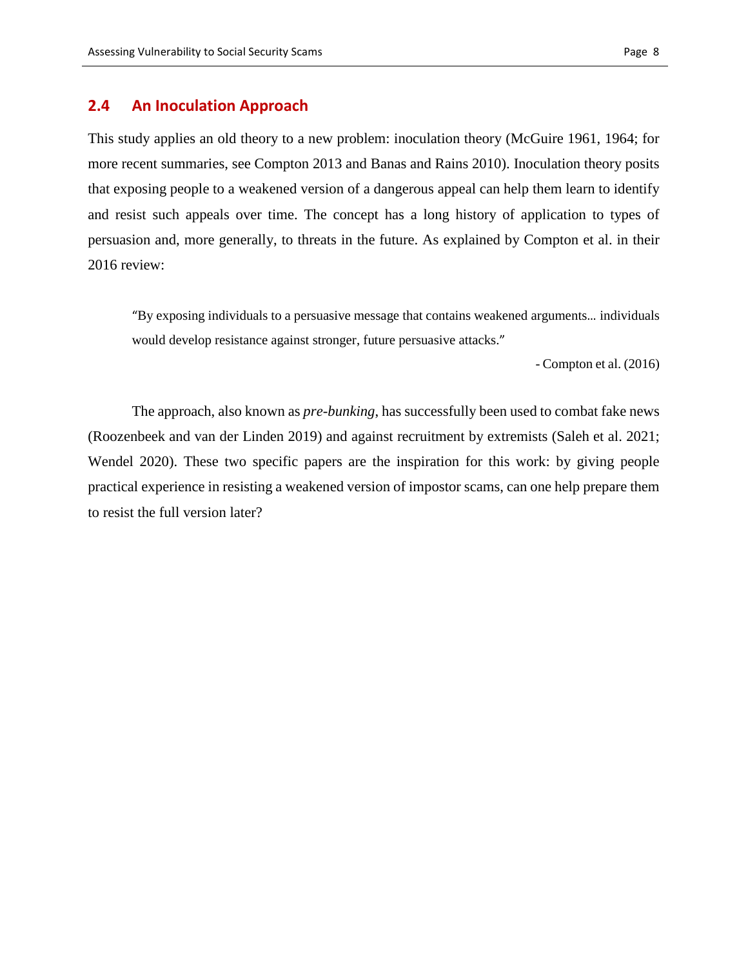#### **2.4 An Inoculation Approach**

This study applies an old theory to a new problem: inoculation theory (McGuire 1961, 1964; for more recent summaries, see Compton 2013 and Banas and Rains 2010). Inoculation theory posits that exposing people to a weakened version of a dangerous appeal can help them learn to identify and resist such appeals over time. The concept has a long history of application to types of persuasion and, more generally, to threats in the future. As explained by Compton et al. in their 2016 review:

"By exposing individuals to a persuasive message that contains weakened arguments… individuals would develop resistance against stronger, future persuasive attacks."

- Compton et al. (2016)

The approach, also known as *pre-bunking*, has successfully been used to combat fake news (Roozenbeek and van der Linden 2019) and against recruitment by extremists (Saleh et al. 2021; Wendel 2020). These two specific papers are the inspiration for this work: by giving people practical experience in resisting a weakened version of impostor scams, can one help prepare them to resist the full version later?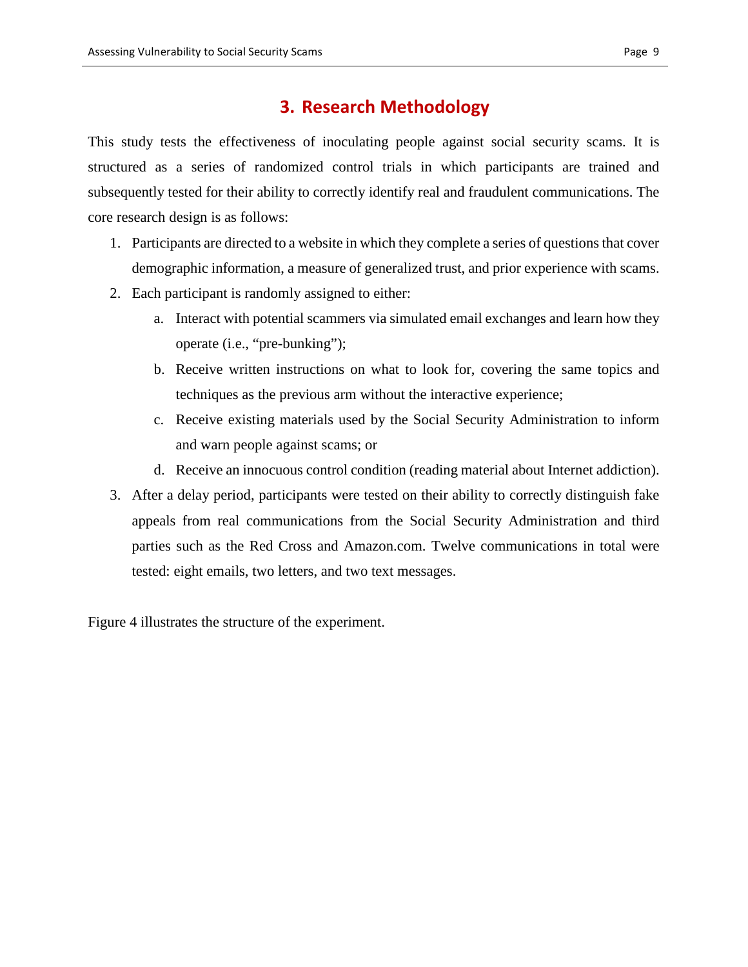### **3. Research Methodology**

This study tests the effectiveness of inoculating people against social security scams. It is structured as a series of randomized control trials in which participants are trained and subsequently tested for their ability to correctly identify real and fraudulent communications. The core research design is as follows:

- 1. Participants are directed to a website in which they complete a series of questions that cover demographic information, a measure of generalized trust, and prior experience with scams.
- 2. Each participant is randomly assigned to either:
	- a. Interact with potential scammers via simulated email exchanges and learn how they operate (i.e., "pre-bunking");
	- b. Receive written instructions on what to look for, covering the same topics and techniques as the previous arm without the interactive experience;
	- c. Receive existing materials used by the Social Security Administration to inform and warn people against scams; or
	- d. Receive an innocuous control condition (reading material about Internet addiction).
- 3. After a delay period, participants were tested on their ability to correctly distinguish fake appeals from real communications from the Social Security Administration and third parties such as the Red Cross and Amazon.com. Twelve communications in total were tested: eight emails, two letters, and two text messages.

Figure 4 illustrates the structure of the experiment.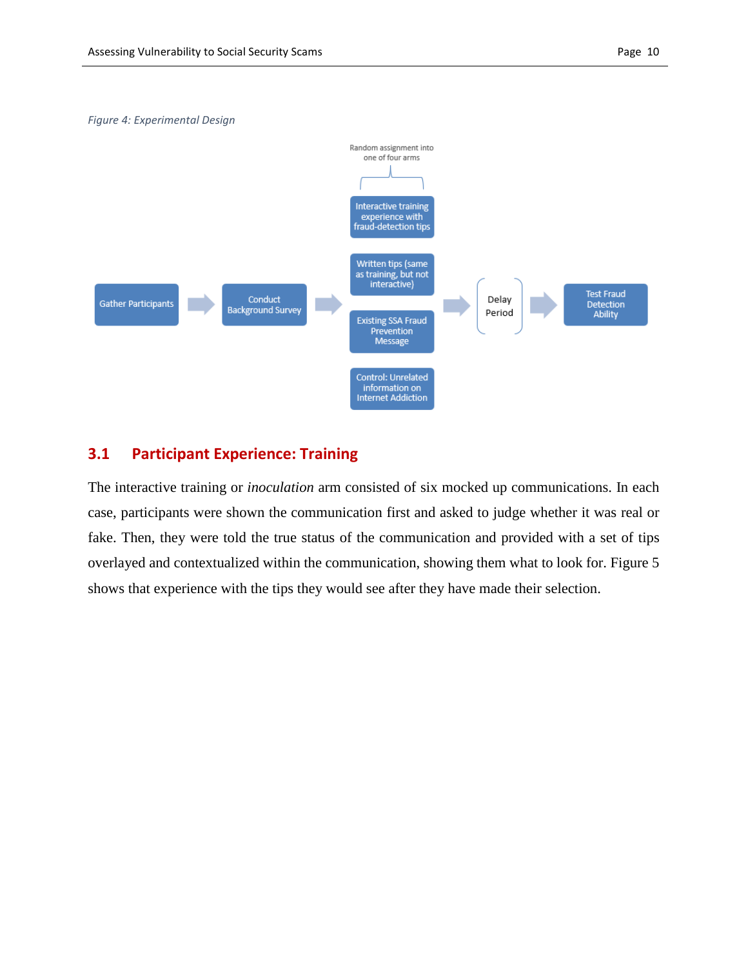#### *Figure 4: Experimental Design*



### **3.1 Participant Experience: Training**

The interactive training or *inoculation* arm consisted of six mocked up communications. In each case, participants were shown the communication first and asked to judge whether it was real or fake. Then, they were told the true status of the communication and provided with a set of tips overlayed and contextualized within the communication, showing them what to look for. Figure 5 shows that experience with the tips they would see after they have made their selection.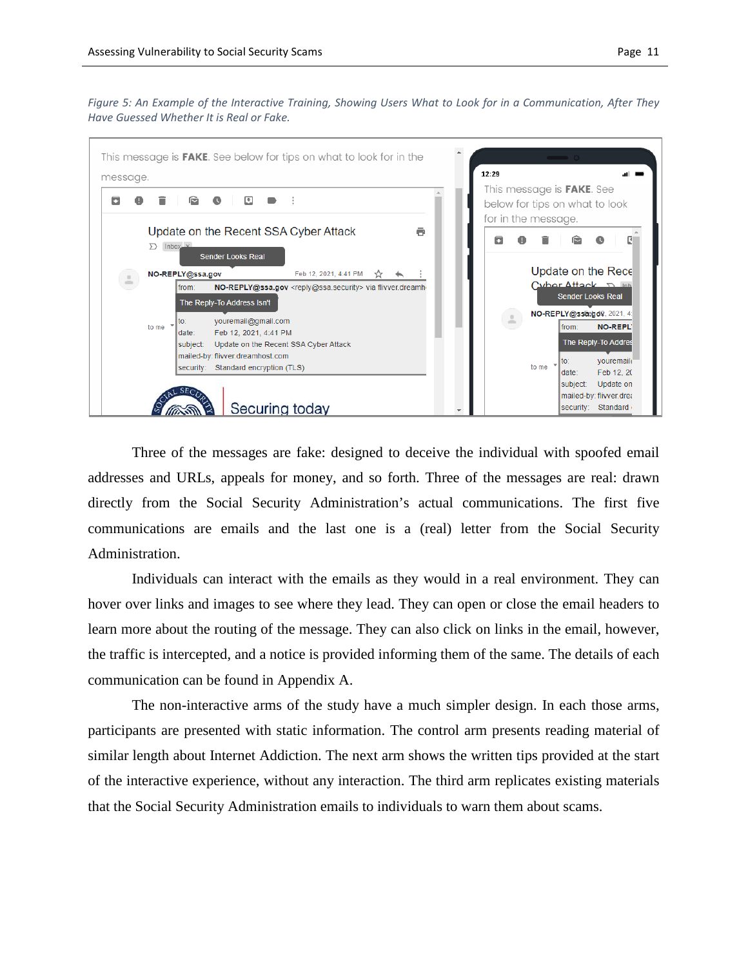*Figure 5: An Example of the Interactive Training, Showing Users What to Look for in a Communication, After They Have Guessed Whether It is Real or Fake.*



Three of the messages are fake: designed to deceive the individual with spoofed email addresses and URLs, appeals for money, and so forth. Three of the messages are real: drawn directly from the Social Security Administration's actual communications. The first five communications are emails and the last one is a (real) letter from the Social Security Administration.

Individuals can interact with the emails as they would in a real environment. They can hover over links and images to see where they lead. They can open or close the email headers to learn more about the routing of the message. They can also click on links in the email, however, the traffic is intercepted, and a notice is provided informing them of the same. The details of each communication can be found in Appendix A.

The non-interactive arms of the study have a much simpler design. In each those arms, participants are presented with static information. The control arm presents reading material of similar length about Internet Addiction. The next arm shows the written tips provided at the start of the interactive experience, without any interaction. The third arm replicates existing materials that the Social Security Administration emails to individuals to warn them about scams.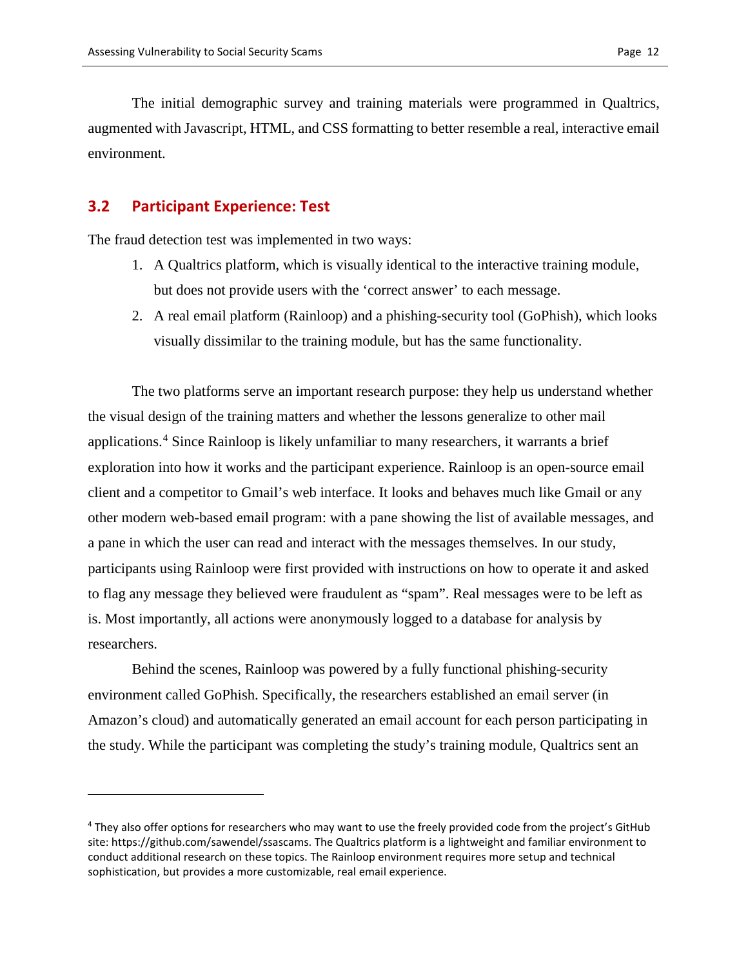The initial demographic survey and training materials were programmed in Qualtrics, augmented with Javascript, HTML, and CSS formatting to better resemble a real, interactive email environment.

#### **3.2 Participant Experience: Test**

 $\overline{a}$ 

The fraud detection test was implemented in two ways:

- 1. A Qualtrics platform, which is visually identical to the interactive training module, but does not provide users with the 'correct answer' to each message.
- 2. A real email platform (Rainloop) and a phishing-security tool (GoPhish), which looks visually dissimilar to the training module, but has the same functionality.

The two platforms serve an important research purpose: they help us understand whether the visual design of the training matters and whether the lessons generalize to other mail applications.[4](#page-11-0) Since Rainloop is likely unfamiliar to many researchers, it warrants a brief exploration into how it works and the participant experience. Rainloop is an open-source email client and a competitor to Gmail's web interface. It looks and behaves much like Gmail or any other modern web-based email program: with a pane showing the list of available messages, and a pane in which the user can read and interact with the messages themselves. In our study, participants using Rainloop were first provided with instructions on how to operate it and asked to flag any message they believed were fraudulent as "spam". Real messages were to be left as is. Most importantly, all actions were anonymously logged to a database for analysis by researchers.

Behind the scenes, Rainloop was powered by a fully functional phishing-security environment called GoPhish. Specifically, the researchers established an email server (in Amazon's cloud) and automatically generated an email account for each person participating in the study. While the participant was completing the study's training module, Qualtrics sent an

<span id="page-11-0"></span><sup>4</sup> They also offer options for researchers who may want to use the freely provided code from the project's GitHub site: https://github.com/sawendel/ssascams. The Qualtrics platform is a lightweight and familiar environment to conduct additional research on these topics. The Rainloop environment requires more setup and technical sophistication, but provides a more customizable, real email experience.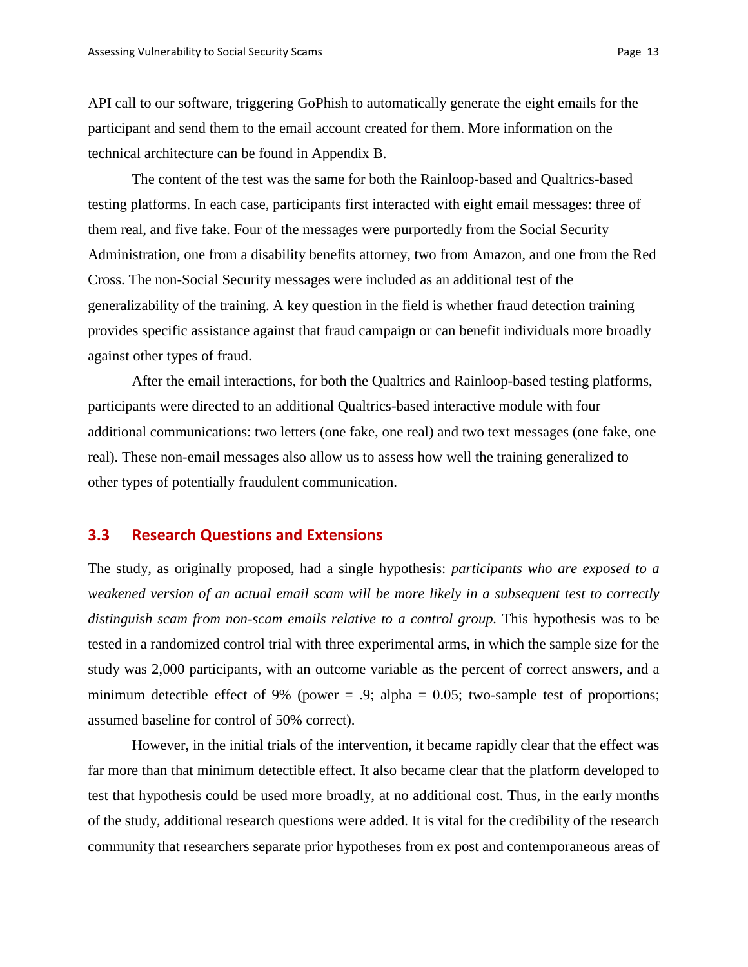API call to our software, triggering GoPhish to automatically generate the eight emails for the participant and send them to the email account created for them. More information on the technical architecture can be found in Appendix B.

The content of the test was the same for both the Rainloop-based and Qualtrics-based testing platforms. In each case, participants first interacted with eight email messages: three of them real, and five fake. Four of the messages were purportedly from the Social Security Administration, one from a disability benefits attorney, two from Amazon, and one from the Red Cross. The non-Social Security messages were included as an additional test of the generalizability of the training. A key question in the field is whether fraud detection training provides specific assistance against that fraud campaign or can benefit individuals more broadly against other types of fraud.

After the email interactions, for both the Qualtrics and Rainloop-based testing platforms, participants were directed to an additional Qualtrics-based interactive module with four additional communications: two letters (one fake, one real) and two text messages (one fake, one real). These non-email messages also allow us to assess how well the training generalized to other types of potentially fraudulent communication.

#### **3.3 Research Questions and Extensions**

The study, as originally proposed, had a single hypothesis: *participants who are exposed to a weakened version of an actual email scam will be more likely in a subsequent test to correctly distinguish scam from non-scam emails relative to a control group.* This hypothesis was to be tested in a randomized control trial with three experimental arms, in which the sample size for the study was 2,000 participants, with an outcome variable as the percent of correct answers, and a minimum detectible effect of 9% (power  $= .9$ ; alpha  $= 0.05$ ; two-sample test of proportions; assumed baseline for control of 50% correct).

However, in the initial trials of the intervention, it became rapidly clear that the effect was far more than that minimum detectible effect. It also became clear that the platform developed to test that hypothesis could be used more broadly, at no additional cost. Thus, in the early months of the study, additional research questions were added. It is vital for the credibility of the research community that researchers separate prior hypotheses from ex post and contemporaneous areas of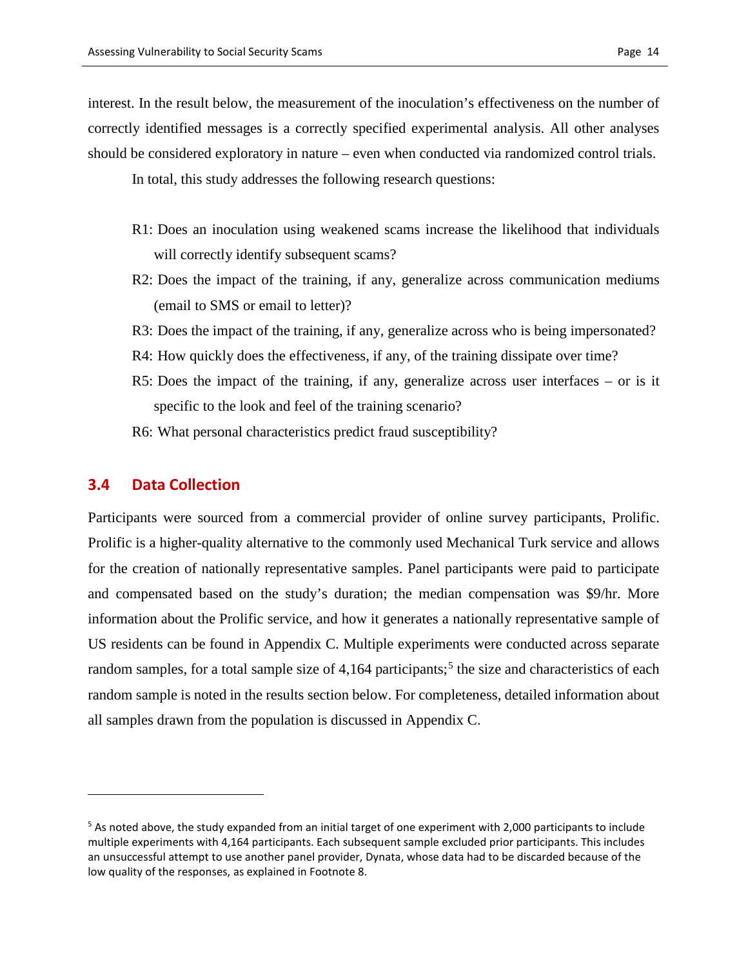interest. In the result below, the measurement of the inoculation's effectiveness on the number of correctly identified messages is a correctly specified experimental analysis. All other analyses should be considered exploratory in nature – even when conducted via randomized control trials.

In total, this study addresses the following research questions:

- R1: Does an inoculation using weakened scams increase the likelihood that individuals will correctly identify subsequent scams?
- R2: Does the impact of the training, if any, generalize across communication mediums (email to SMS or email to letter)?
- R3: Does the impact of the training, if any, generalize across who is being impersonated?
- R4: How quickly does the effectiveness, if any, of the training dissipate over time?
- R5: Does the impact of the training, if any, generalize across user interfaces or is it specific to the look and feel of the training scenario?
- R6: What personal characteristics predict fraud susceptibility?

### **3.4 Data Collection**

 $\overline{a}$ 

Participants were sourced from a commercial provider of online survey participants, Prolific. Prolific is a higher-quality alternative to the commonly used Mechanical Turk service and allows for the creation of nationally representative samples. Panel participants were paid to participate and compensated based on the study's duration; the median compensation was \$9/hr. More information about the Prolific service, and how it generates a nationally representative sample of US residents can be found in Appendix C. Multiple experiments were conducted across separate random samples, for a total sample size of  $4,164$  participants;<sup>[5](#page-13-0)</sup> the size and characteristics of each random sample is noted in the results section below. For completeness, detailed information about all samples drawn from the population is discussed in Appendix C.

<span id="page-13-0"></span><sup>&</sup>lt;sup>5</sup> As noted above, the study expanded from an initial target of one experiment with 2,000 participants to include multiple experiments with 4,164 participants. Each subsequent sample excluded prior participants. This includes an unsuccessful attempt to use another panel provider, Dynata, whose data had to be discarded because of the low quality of the responses, as explained in Footnote 8.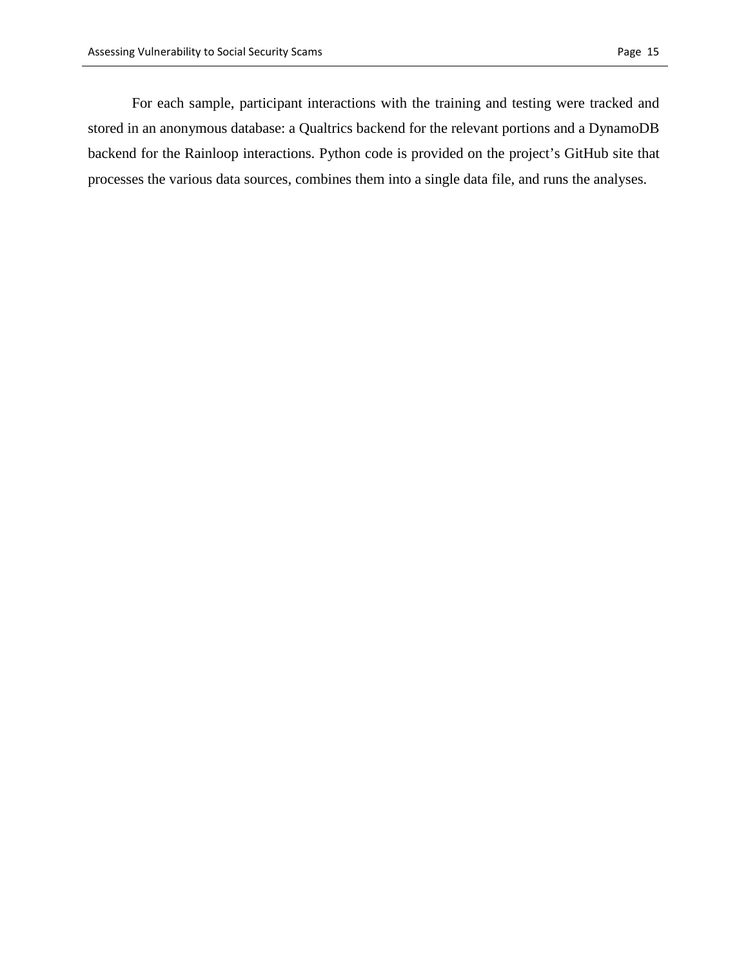For each sample, participant interactions with the training and testing were tracked and stored in an anonymous database: a Qualtrics backend for the relevant portions and a DynamoDB backend for the Rainloop interactions. Python code is provided on the project's GitHub site that processes the various data sources, combines them into a single data file, and runs the analyses.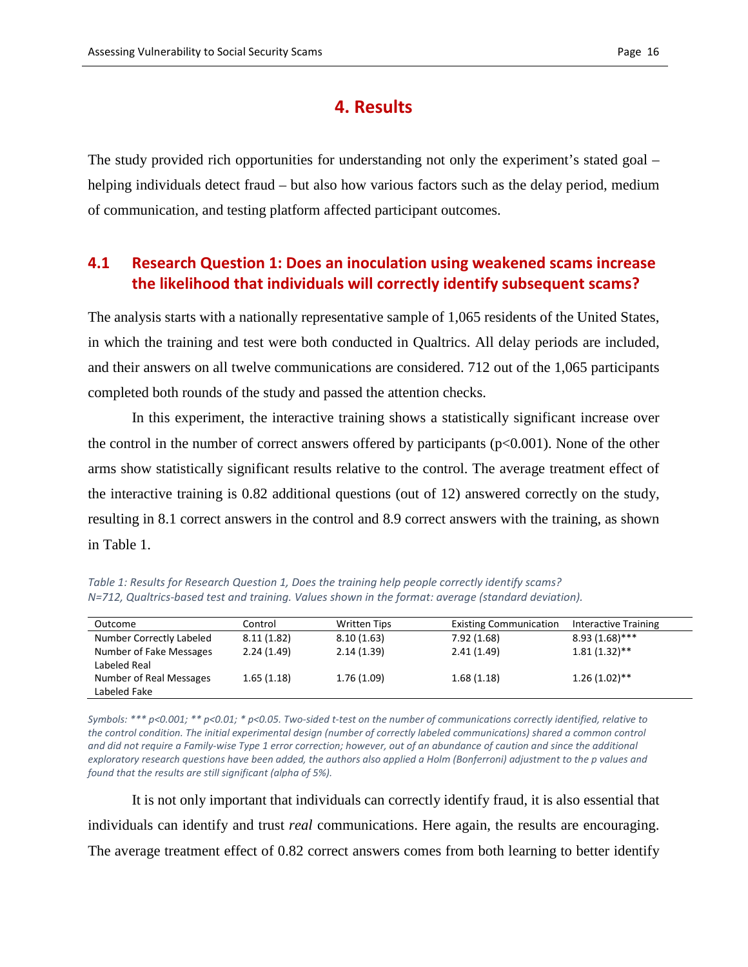### **4. Results**

The study provided rich opportunities for understanding not only the experiment's stated goal – helping individuals detect fraud – but also how various factors such as the delay period, medium of communication, and testing platform affected participant outcomes.

## **4.1 Research Question 1: Does an inoculation using weakened scams increase the likelihood that individuals will correctly identify subsequent scams?**

The analysis starts with a nationally representative sample of 1,065 residents of the United States, in which the training and test were both conducted in Qualtrics. All delay periods are included, and their answers on all twelve communications are considered. 712 out of the 1,065 participants completed both rounds of the study and passed the attention checks.

In this experiment, the interactive training shows a statistically significant increase over the control in the number of correct answers offered by participants ( $p<0.001$ ). None of the other arms show statistically significant results relative to the control. The average treatment effect of the interactive training is 0.82 additional questions (out of 12) answered correctly on the study, resulting in 8.1 correct answers in the control and 8.9 correct answers with the training, as shown in Table 1.

*Table 1: Results for Research Question 1, Does the training help people correctly identify scams? N=712, Qualtrics-based test and training. Values shown in the format: average (standard deviation).*

| Outcome                                 | Control    | Written Tips | <b>Existing Communication</b> | Interactive Training |
|-----------------------------------------|------------|--------------|-------------------------------|----------------------|
| Number Correctly Labeled                | 8.11(1.82) | 8.10(1.63)   | 7.92(1.68)                    | $8.93(1.68)$ ***     |
| Number of Fake Messages<br>Labeled Real | 2.24(1.49) | 2.14(1.39)   | 2.41(1.49)                    | $1.81(1.32)$ **      |
| Number of Real Messages<br>Labeled Fake | 1.65(1.18) | 1.76(1.09)   | 1.68(1.18)                    | $1.26(1.02)$ **      |

*Symbols: \*\*\* p<0.001; \*\* p<0.01; \* p<0.05. Two-sided t-test on the number of communications correctly identified, relative to the control condition. The initial experimental design (number of correctly labeled communications) shared a common control and did not require a Family-wise Type 1 error correction; however, out of an abundance of caution and since the additional exploratory research questions have been added, the authors also applied a Holm (Bonferroni) adjustment to the p values and found that the results are still significant (alpha of 5%).* 

It is not only important that individuals can correctly identify fraud, it is also essential that individuals can identify and trust *real* communications. Here again, the results are encouraging. The average treatment effect of 0.82 correct answers comes from both learning to better identify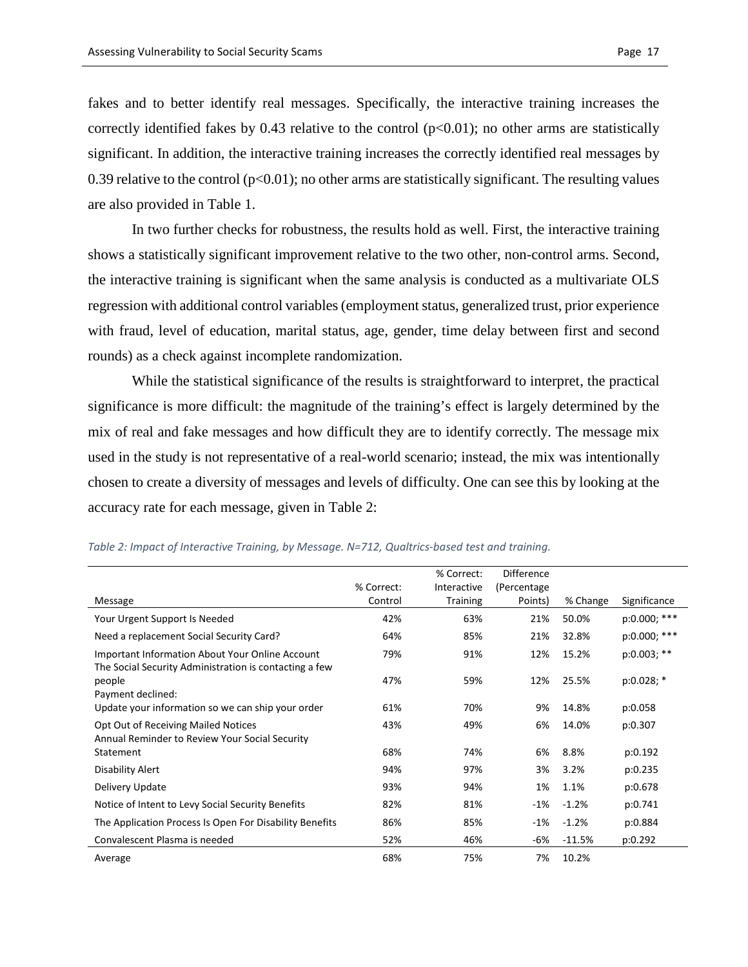fakes and to better identify real messages. Specifically, the interactive training increases the correctly identified fakes by 0.43 relative to the control  $(p<0.01)$ ; no other arms are statistically significant. In addition, the interactive training increases the correctly identified real messages by 0.39 relative to the control ( $p<0.01$ ); no other arms are statistically significant. The resulting values are also provided in Table 1.

In two further checks for robustness, the results hold as well. First, the interactive training shows a statistically significant improvement relative to the two other, non-control arms. Second, the interactive training is significant when the same analysis is conducted as a multivariate OLS regression with additional control variables (employment status, generalized trust, prior experience with fraud, level of education, marital status, age, gender, time delay between first and second rounds) as a check against incomplete randomization.

While the statistical significance of the results is straightforward to interpret, the practical significance is more difficult: the magnitude of the training's effect is largely determined by the mix of real and fake messages and how difficult they are to identify correctly. The message mix used in the study is not representative of a real-world scenario; instead, the mix was intentionally chosen to create a diversity of messages and levels of difficulty. One can see this by looking at the accuracy rate for each message, given in Table 2:

|                                                                                                                  | % Correct: | % Correct:<br>Interactive | <b>Difference</b><br>(Percentage |          |                |
|------------------------------------------------------------------------------------------------------------------|------------|---------------------------|----------------------------------|----------|----------------|
| Message                                                                                                          | Control    | <b>Training</b>           | Points)                          | % Change | Significance   |
| Your Urgent Support Is Needed                                                                                    | 42%        | 63%                       | 21%                              | 50.0%    | p:0.000; ***   |
| Need a replacement Social Security Card?                                                                         | 64%        | 85%                       | 21%                              | 32.8%    | $p:0.000;$ *** |
| <b>Important Information About Your Online Account</b><br>The Social Security Administration is contacting a few | 79%        | 91%                       | 12%                              | 15.2%    | $p:0.003;$ **  |
| people<br>Payment declined:                                                                                      | 47%        | 59%                       | 12%                              | 25.5%    | $p:0.028;$ *   |
| Update your information so we can ship your order                                                                | 61%        | 70%                       | 9%                               | 14.8%    | p:0.058        |
| Opt Out of Receiving Mailed Notices<br>Annual Reminder to Review Your Social Security                            | 43%        | 49%                       | 6%                               | 14.0%    | p:0.307        |
| Statement                                                                                                        | 68%        | 74%                       | 6%                               | 8.8%     | p:0.192        |
| Disability Alert                                                                                                 | 94%        | 97%                       | 3%                               | 3.2%     | p:0.235        |
| Delivery Update                                                                                                  | 93%        | 94%                       | 1%                               | 1.1%     | p:0.678        |
| Notice of Intent to Levy Social Security Benefits                                                                | 82%        | 81%                       | -1%                              | $-1.2%$  | p:0.741        |
| The Application Process Is Open For Disability Benefits                                                          | 86%        | 85%                       | $-1\%$                           | $-1.2%$  | p:0.884        |
| Convalescent Plasma is needed                                                                                    | 52%        | 46%                       | -6%                              | $-11.5%$ | p:0.292        |
| Average                                                                                                          | 68%        | 75%                       | 7%                               | 10.2%    |                |

*Table 2: Impact of Interactive Training, by Message. N=712, Qualtrics-based test and training.*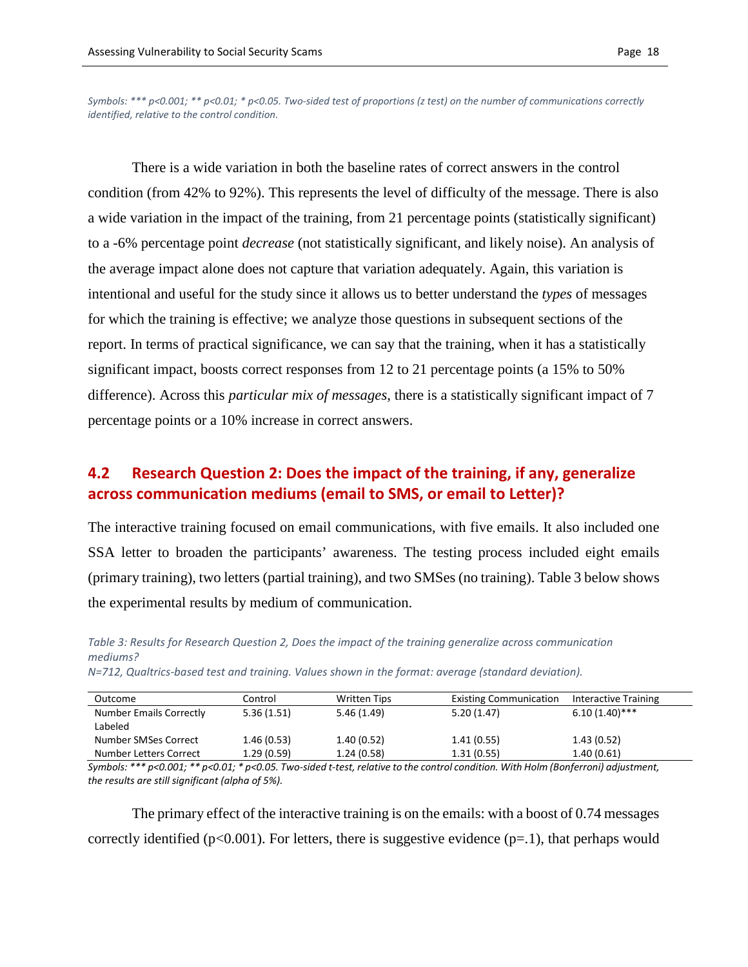*Symbols: \*\*\* p<0.001; \*\* p<0.01; \* p<0.05. Two-sided test of proportions (z test) on the number of communications correctly identified, relative to the control condition.* 

There is a wide variation in both the baseline rates of correct answers in the control condition (from 42% to 92%). This represents the level of difficulty of the message. There is also a wide variation in the impact of the training, from 21 percentage points (statistically significant) to a -6% percentage point *decrease* (not statistically significant, and likely noise). An analysis of the average impact alone does not capture that variation adequately. Again, this variation is intentional and useful for the study since it allows us to better understand the *types* of messages for which the training is effective; we analyze those questions in subsequent sections of the report. In terms of practical significance, we can say that the training, when it has a statistically significant impact, boosts correct responses from 12 to 21 percentage points (a 15% to 50% difference). Across this *particular mix of messages*, there is a statistically significant impact of 7 percentage points or a 10% increase in correct answers.

### **4.2 Research Question 2: Does the impact of the training, if any, generalize across communication mediums (email to SMS, or email to Letter)?**

The interactive training focused on email communications, with five emails. It also included one SSA letter to broaden the participants' awareness. The testing process included eight emails (primary training), two letters (partial training), and two SMSes (no training). Table 3 below shows the experimental results by medium of communication.

*Table 3: Results for Research Question 2, Does the impact of the training generalize across communication mediums?* 

| Outcome                 | Control    | <b>Written Tips</b> | <b>Existing Communication</b> | Interactive Training |
|-------------------------|------------|---------------------|-------------------------------|----------------------|
| Number Emails Correctly | 5.36(1.51) | 5.46(1.49)          | 5.20(1.47)                    | $6.10(1.40)$ ***     |
| Labeled                 |            |                     |                               |                      |
| Number SMSes Correct    | 1.46(0.53) | 1.40(0.52)          | 1.41(0.55)                    | 1.43(0.52)           |
| Number Letters Correct  | 1.29(0.59) | 1.24(0.58)          | 1.31(0.55)                    | 1.40(0.61)           |

*N=712, Qualtrics-based test and training. Values shown in the format: average (standard deviation).* 

*Symbols: \*\*\* p<0.001; \*\* p<0.01; \* p<0.05. Two-sided t-test, relative to the control condition. With Holm (Bonferroni) adjustment, the results are still significant (alpha of 5%).* 

The primary effect of the interactive training is on the emails: with a boost of 0.74 messages correctly identified ( $p<0.001$ ). For letters, there is suggestive evidence ( $p=1$ ), that perhaps would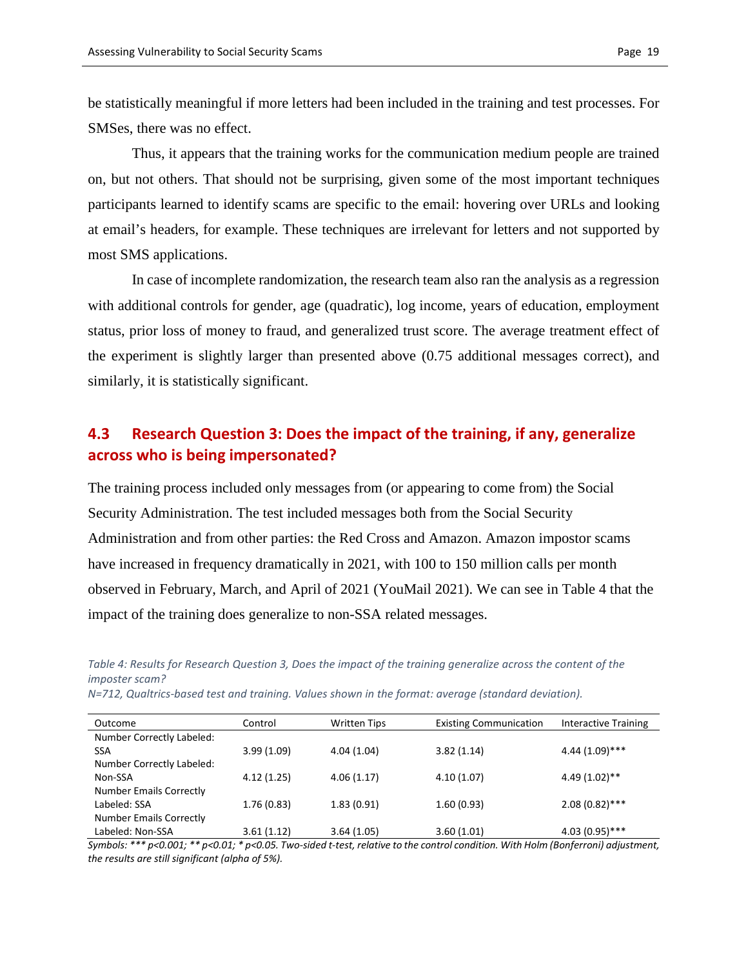be statistically meaningful if more letters had been included in the training and test processes. For SMSes, there was no effect.

Thus, it appears that the training works for the communication medium people are trained on, but not others. That should not be surprising, given some of the most important techniques participants learned to identify scams are specific to the email: hovering over URLs and looking at email's headers, for example. These techniques are irrelevant for letters and not supported by most SMS applications.

In case of incomplete randomization, the research team also ran the analysis as a regression with additional controls for gender, age (quadratic), log income, years of education, employment status, prior loss of money to fraud, and generalized trust score. The average treatment effect of the experiment is slightly larger than presented above (0.75 additional messages correct), and similarly, it is statistically significant.

### **4.3 Research Question 3: Does the impact of the training, if any, generalize across who is being impersonated?**

The training process included only messages from (or appearing to come from) the Social Security Administration. The test included messages both from the Social Security Administration and from other parties: the Red Cross and Amazon. Amazon impostor scams have increased in frequency dramatically in 2021, with 100 to 150 million calls per month observed in February, March, and April of 2021 (YouMail 2021). We can see in Table 4 that the impact of the training does generalize to non-SSA related messages.

*Table 4: Results for Research Question 3, Does the impact of the training generalize across the content of the imposter scam?* 

| N=712, Qualtrics-based test and training. Values shown in the format: average (standard deviation). |  |
|-----------------------------------------------------------------------------------------------------|--|
|-----------------------------------------------------------------------------------------------------|--|

| Outcome                        | Control    | <b>Written Tips</b> | <b>Existing Communication</b> | Interactive Training |
|--------------------------------|------------|---------------------|-------------------------------|----------------------|
| Number Correctly Labeled:      |            |                     |                               |                      |
| <b>SSA</b>                     | 3.99(1.09) | 4.04(1.04)          | 3.82(1.14)                    | $4.44(1.09)$ ***     |
| Number Correctly Labeled:      |            |                     |                               |                      |
| Non-SSA                        | 4.12(1.25) | 4.06(1.17)          | 4.10(1.07)                    | $4.49(1.02)$ **      |
| <b>Number Emails Correctly</b> |            |                     |                               |                      |
| Labeled: SSA                   | 1.76(0.83) | 1.83(0.91)          | 1.60(0.93)                    | $2.08(0.82)$ ***     |
| <b>Number Emails Correctly</b> |            |                     |                               |                      |
| Labeled: Non-SSA               | 3.61(1.12) | 3.64(1.05)          | 3.60(1.01)                    | $4.03(0.95)$ ***     |

*Symbols: \*\*\* p<0.001; \*\* p<0.01; \* p<0.05. Two-sided t-test, relative to the control condition. With Holm (Bonferroni) adjustment, the results are still significant (alpha of 5%).*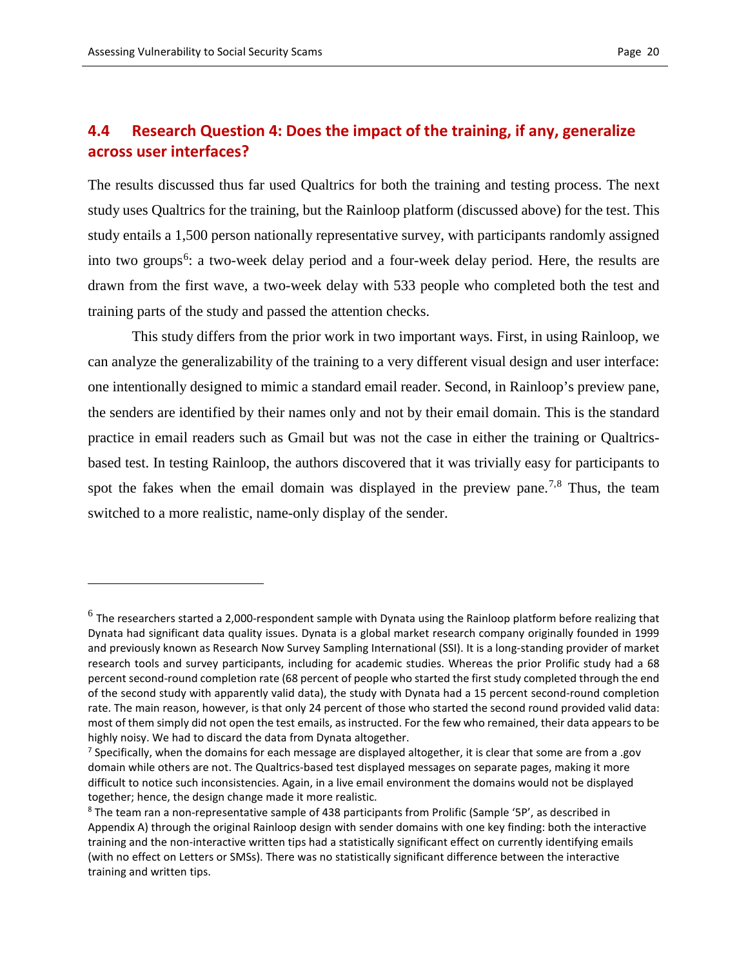$\overline{a}$ 

# **4.4 Research Question 4: Does the impact of the training, if any, generalize across user interfaces?**

The results discussed thus far used Qualtrics for both the training and testing process. The next study uses Qualtrics for the training, but the Rainloop platform (discussed above) for the test. This study entails a 1,500 person nationally representative survey, with participants randomly assigned into two groups<sup>[6](#page-19-0)</sup>: a two-week delay period and a four-week delay period. Here, the results are drawn from the first wave, a two-week delay with 533 people who completed both the test and training parts of the study and passed the attention checks.

This study differs from the prior work in two important ways. First, in using Rainloop, we can analyze the generalizability of the training to a very different visual design and user interface: one intentionally designed to mimic a standard email reader. Second, in Rainloop's preview pane, the senders are identified by their names only and not by their email domain. This is the standard practice in email readers such as Gmail but was not the case in either the training or Qualtricsbased test. In testing Rainloop, the authors discovered that it was trivially easy for participants to spot the fakes when the email domain was displayed in the preview pane.<sup>[7](#page-19-1),[8](#page-19-2)</sup> Thus, the team switched to a more realistic, name-only display of the sender.

<span id="page-19-0"></span> $6$  The researchers started a 2,000-respondent sample with Dynata using the Rainloop platform before realizing that Dynata had significant data quality issues. Dynata is a global market research company originally founded in 1999 and previously known as Research Now Survey Sampling International (SSI). It is a long-standing provider of market research tools and survey participants, including for academic studies. Whereas the prior Prolific study had a 68 percent second-round completion rate (68 percent of people who started the first study completed through the end of the second study with apparently valid data), the study with Dynata had a 15 percent second-round completion rate. The main reason, however, is that only 24 percent of those who started the second round provided valid data: most of them simply did not open the test emails, as instructed. For the few who remained, their data appears to be highly noisy. We had to discard the data from Dynata altogether.<br><sup>7</sup> Specifically, when the domains for each message are displayed altogether, it is clear that some are from a .gov

<span id="page-19-1"></span>domain while others are not. The Qualtrics-based test displayed messages on separate pages, making it more difficult to notice such inconsistencies. Again, in a live email environment the domains would not be displayed together; hence, the design change made it more realistic.

<span id="page-19-2"></span><sup>&</sup>lt;sup>8</sup> The team ran a non-representative sample of 438 participants from Prolific (Sample '5P', as described in Appendix A) through the original Rainloop design with sender domains with one key finding: both the interactive training and the non-interactive written tips had a statistically significant effect on currently identifying emails (with no effect on Letters or SMSs). There was no statistically significant difference between the interactive training and written tips.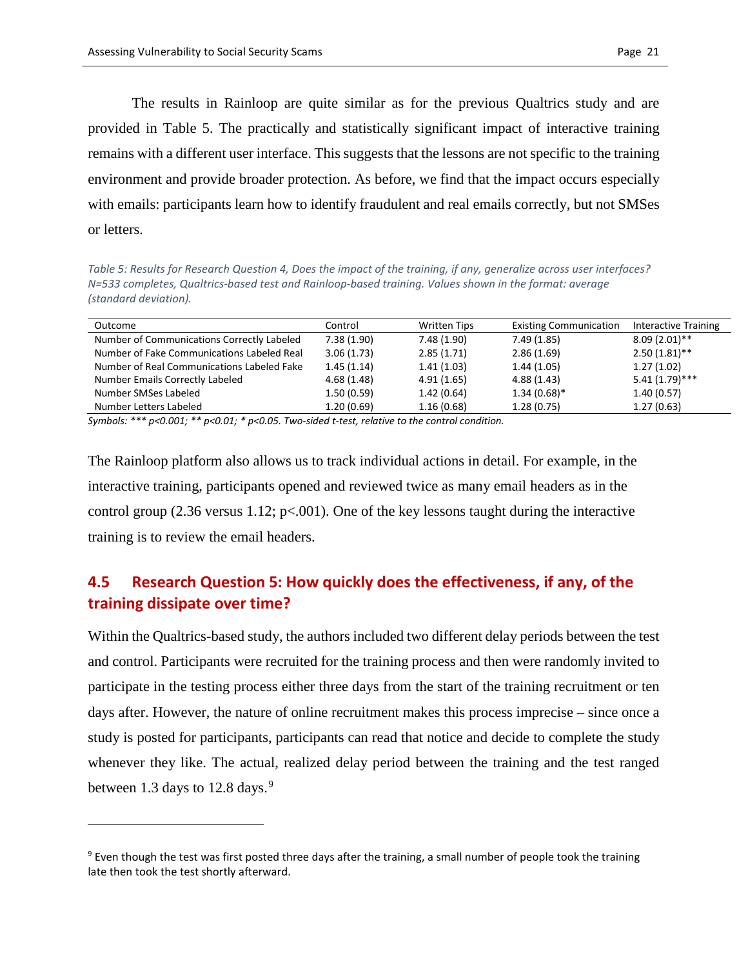$\overline{a}$ 

The results in Rainloop are quite similar as for the previous Qualtrics study and are provided in Table 5. The practically and statistically significant impact of interactive training remains with a different user interface. This suggests that the lessons are not specific to the training environment and provide broader protection. As before, we find that the impact occurs especially with emails: participants learn how to identify fraudulent and real emails correctly, but not SMSes or letters.

*Table 5: Results for Research Question 4, Does the impact of the training, if any, generalize across user interfaces? N=533 completes, Qualtrics-based test and Rainloop-based training. Values shown in the format: average (standard deviation).* 

| Outcome                                    | Control    | <b>Written Tips</b> | <b>Existing Communication</b> | <b>Interactive Training</b> |
|--------------------------------------------|------------|---------------------|-------------------------------|-----------------------------|
| Number of Communications Correctly Labeled | 7.38(1.90) | 7.48 (1.90)         | 7.49(1.85)                    | $8.09(2.01)$ **             |
| Number of Fake Communications Labeled Real | 3.06(1.73) | 2.85(1.71)          | 2.86(1.69)                    | $2.50(1.81)$ **             |
| Number of Real Communications Labeled Fake | 1.45(1.14) | 1.41(1.03)          | 1.44(1.05)                    | 1.27(1.02)                  |
| Number Emails Correctly Labeled            | 4.68(1.48) | 4.91(1.65)          | 4.88(1.43)                    | $5.41(1.79)$ ***            |
| Number SMSes Labeled                       | 1.50(0.59) | 1.42(0.64)          | $1.34(0.68)$ *                | 1.40(0.57)                  |
| Number Letters Labeled                     | 1.20(0.69) | 1.16(0.68)          | 1.28(0.75)                    | 1.27(0.63)                  |

*Symbols: \*\*\* p<0.001; \*\* p<0.01; \* p<0.05. Two-sided t-test, relative to the control condition.* 

The Rainloop platform also allows us to track individual actions in detail. For example, in the interactive training, participants opened and reviewed twice as many email headers as in the control group (2.36 versus 1.12;  $p<0.01$ ). One of the key lessons taught during the interactive training is to review the email headers.

### **4.5 Research Question 5: How quickly does the effectiveness, if any, of the training dissipate over time?**

Within the Qualtrics-based study, the authors included two different delay periods between the test and control. Participants were recruited for the training process and then were randomly invited to participate in the testing process either three days from the start of the training recruitment or ten days after. However, the nature of online recruitment makes this process imprecise – since once a study is posted for participants, participants can read that notice and decide to complete the study whenever they like. The actual, realized delay period between the training and the test ranged between 1.3 days to 12.8 days. $9$ 

<span id="page-20-0"></span> $9$  Even though the test was first posted three days after the training, a small number of people took the training late then took the test shortly afterward.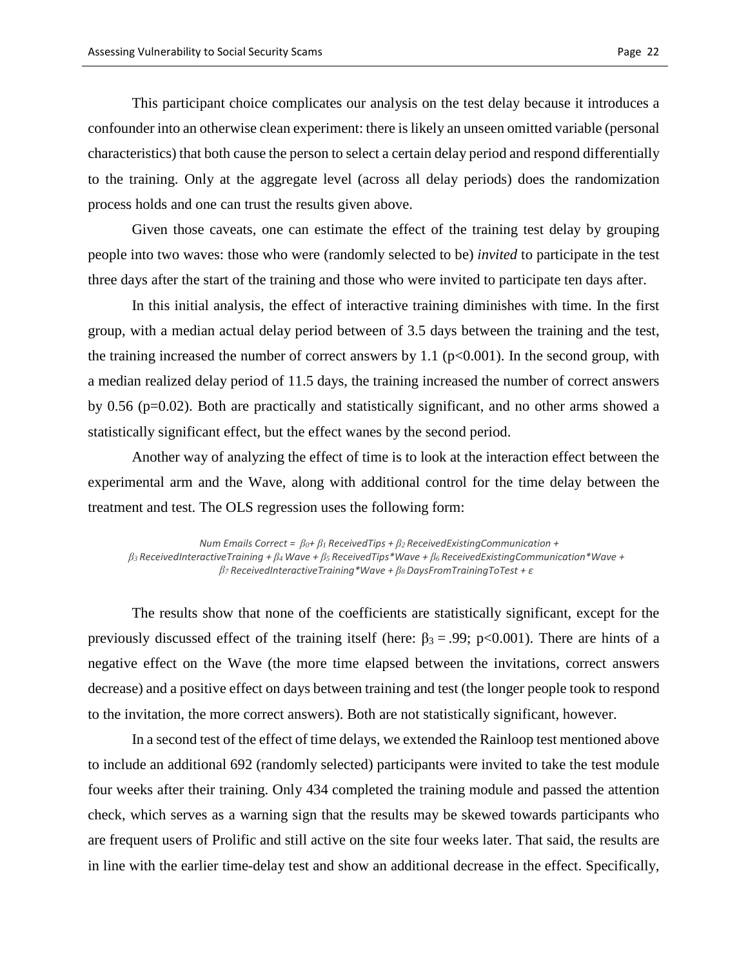This participant choice complicates our analysis on the test delay because it introduces a confounder into an otherwise clean experiment: there is likely an unseen omitted variable (personal characteristics) that both cause the person to select a certain delay period and respond differentially to the training. Only at the aggregate level (across all delay periods) does the randomization process holds and one can trust the results given above.

Given those caveats, one can estimate the effect of the training test delay by grouping people into two waves: those who were (randomly selected to be) *invited* to participate in the test three days after the start of the training and those who were invited to participate ten days after.

In this initial analysis, the effect of interactive training diminishes with time. In the first group, with a median actual delay period between of 3.5 days between the training and the test, the training increased the number of correct answers by 1.1 ( $p<0.001$ ). In the second group, with a median realized delay period of 11.5 days, the training increased the number of correct answers by 0.56 (p=0.02). Both are practically and statistically significant, and no other arms showed a statistically significant effect, but the effect wanes by the second period.

Another way of analyzing the effect of time is to look at the interaction effect between the experimental arm and the Wave, along with additional control for the time delay between the treatment and test. The OLS regression uses the following form:

*Num Emails Correct = β0+ β1 ReceivedTips + β2 ReceivedExistingCommunication + β3 ReceivedInteractiveTraining + β4 Wave + β5 ReceivedTips\*Wave + β6 ReceivedExistingCommunication\*Wave + β7 ReceivedInteractiveTraining\*Wave + β8 DaysFromTrainingToTest + ε*

The results show that none of the coefficients are statistically significant, except for the previously discussed effect of the training itself (here:  $\beta_3 = .99$ ; p<0.001). There are hints of a negative effect on the Wave (the more time elapsed between the invitations, correct answers decrease) and a positive effect on days between training and test (the longer people took to respond to the invitation, the more correct answers). Both are not statistically significant, however.

In a second test of the effect of time delays, we extended the Rainloop test mentioned above to include an additional 692 (randomly selected) participants were invited to take the test module four weeks after their training. Only 434 completed the training module and passed the attention check, which serves as a warning sign that the results may be skewed towards participants who are frequent users of Prolific and still active on the site four weeks later. That said, the results are in line with the earlier time-delay test and show an additional decrease in the effect. Specifically,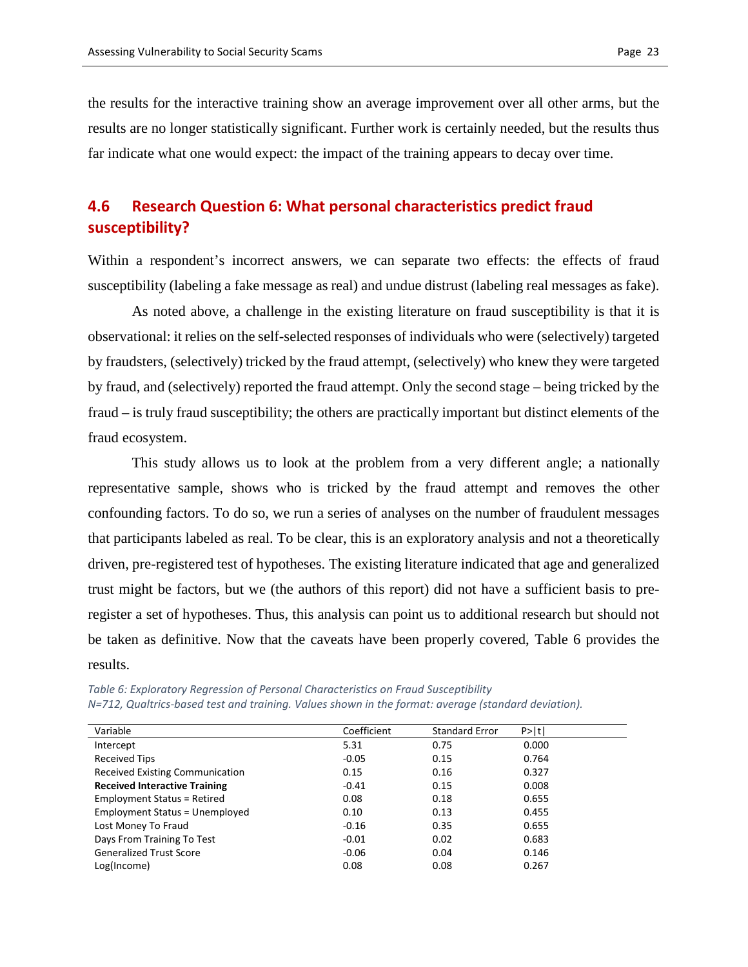the results for the interactive training show an average improvement over all other arms, but the results are no longer statistically significant. Further work is certainly needed, but the results thus far indicate what one would expect: the impact of the training appears to decay over time.

### **4.6 Research Question 6: What personal characteristics predict fraud susceptibility?**

Within a respondent's incorrect answers, we can separate two effects: the effects of fraud susceptibility (labeling a fake message as real) and undue distrust (labeling real messages as fake).

As noted above, a challenge in the existing literature on fraud susceptibility is that it is observational: it relies on the self-selected responses of individuals who were (selectively) targeted by fraudsters, (selectively) tricked by the fraud attempt, (selectively) who knew they were targeted by fraud, and (selectively) reported the fraud attempt. Only the second stage – being tricked by the fraud – is truly fraud susceptibility; the others are practically important but distinct elements of the fraud ecosystem.

This study allows us to look at the problem from a very different angle; a nationally representative sample, shows who is tricked by the fraud attempt and removes the other confounding factors. To do so, we run a series of analyses on the number of fraudulent messages that participants labeled as real. To be clear, this is an exploratory analysis and not a theoretically driven, pre-registered test of hypotheses. The existing literature indicated that age and generalized trust might be factors, but we (the authors of this report) did not have a sufficient basis to preregister a set of hypotheses. Thus, this analysis can point us to additional research but should not be taken as definitive. Now that the caveats have been properly covered, Table 6 provides the results.

| Variable                              | Coefficient | <b>Standard Error</b> | P>  t |
|---------------------------------------|-------------|-----------------------|-------|
| Intercept                             | 5.31        | 0.75                  | 0.000 |
| <b>Received Tips</b>                  | $-0.05$     | 0.15                  | 0.764 |
| Received Existing Communication       | 0.15        | 0.16                  | 0.327 |
| <b>Received Interactive Training</b>  | $-0.41$     | 0.15                  | 0.008 |
| <b>Employment Status = Retired</b>    | 0.08        | 0.18                  | 0.655 |
| <b>Employment Status = Unemployed</b> | 0.10        | 0.13                  | 0.455 |
| Lost Money To Fraud                   | $-0.16$     | 0.35                  | 0.655 |
| Days From Training To Test            | $-0.01$     | 0.02                  | 0.683 |
| <b>Generalized Trust Score</b>        | $-0.06$     | 0.04                  | 0.146 |

*Table 6: Exploratory Regression of Personal Characteristics on Fraud Susceptibility N=712, Qualtrics-based test and training. Values shown in the format: average (standard deviation).*

Log(Income) 0.08 0.08 0.267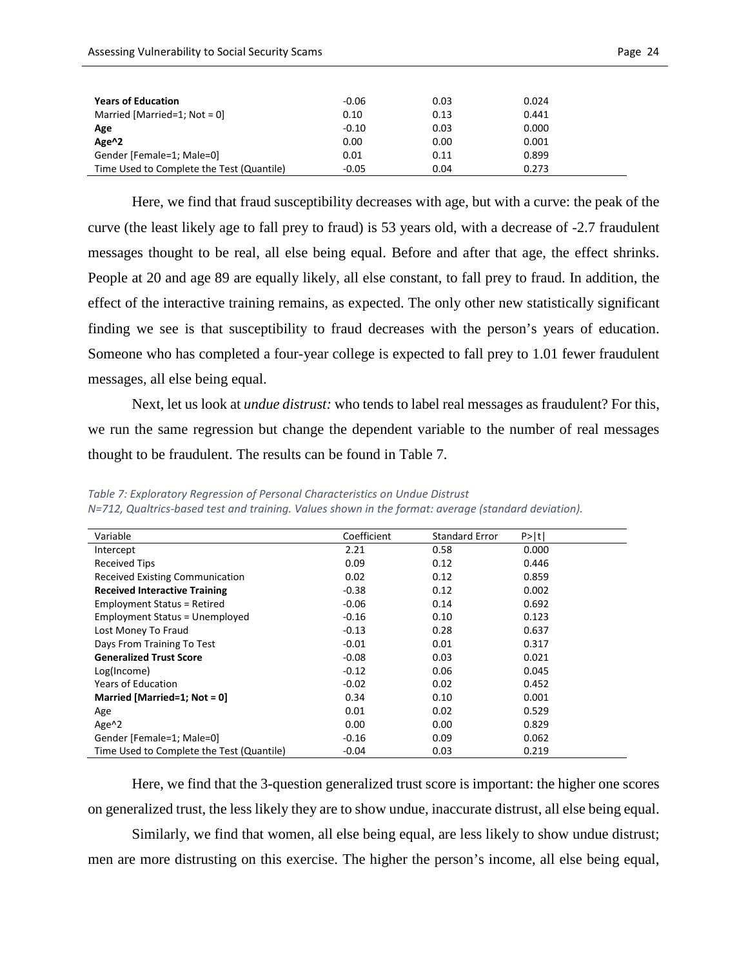| <b>Years of Education</b>                 | $-0.06$ | 0.03 | 0.024 |  |
|-------------------------------------------|---------|------|-------|--|
| Married [Married=1; Not = $0$ ]           | 0.10    | 0.13 | 0.441 |  |
| Age                                       | $-0.10$ | 0.03 | 0.000 |  |
| Age <sup>^2</sup>                         | 0.00    | 0.00 | 0.001 |  |
| Gender [Female=1; Male=0]                 | 0.01    | 0.11 | 0.899 |  |
| Time Used to Complete the Test (Quantile) | $-0.05$ | 0.04 | 0.273 |  |

Here, we find that fraud susceptibility decreases with age, but with a curve: the peak of the curve (the least likely age to fall prey to fraud) is 53 years old, with a decrease of -2.7 fraudulent messages thought to be real, all else being equal. Before and after that age, the effect shrinks. People at 20 and age 89 are equally likely, all else constant, to fall prey to fraud. In addition, the effect of the interactive training remains, as expected. The only other new statistically significant finding we see is that susceptibility to fraud decreases with the person's years of education. Someone who has completed a four-year college is expected to fall prey to 1.01 fewer fraudulent messages, all else being equal.

Next, let us look at *undue distrust:* who tends to label real messages as fraudulent? For this, we run the same regression but change the dependent variable to the number of real messages thought to be fraudulent. The results can be found in Table 7.

| Variable                                  | Coefficient | <b>Standard Error</b> | P >  t |
|-------------------------------------------|-------------|-----------------------|--------|
| Intercept                                 | 2.21        | 0.58                  | 0.000  |
| <b>Received Tips</b>                      | 0.09        | 0.12                  | 0.446  |
| <b>Received Existing Communication</b>    | 0.02        | 0.12                  | 0.859  |
| <b>Received Interactive Training</b>      | $-0.38$     | 0.12                  | 0.002  |
| <b>Employment Status = Retired</b>        | $-0.06$     | 0.14                  | 0.692  |
| <b>Employment Status = Unemployed</b>     | $-0.16$     | 0.10                  | 0.123  |
| Lost Money To Fraud                       | $-0.13$     | 0.28                  | 0.637  |
| Days From Training To Test                | $-0.01$     | 0.01                  | 0.317  |
| <b>Generalized Trust Score</b>            | $-0.08$     | 0.03                  | 0.021  |
| Log(Income)                               | $-0.12$     | 0.06                  | 0.045  |
| <b>Years of Education</b>                 | $-0.02$     | 0.02                  | 0.452  |
| Married [Married=1; Not = $0$ ]           | 0.34        | 0.10                  | 0.001  |
| Age                                       | 0.01        | 0.02                  | 0.529  |
| Age <sup>^2</sup>                         | 0.00        | 0.00                  | 0.829  |
| Gender [Female=1; Male=0]                 | $-0.16$     | 0.09                  | 0.062  |
| Time Used to Complete the Test (Quantile) | $-0.04$     | 0.03                  | 0.219  |

*Table 7: Exploratory Regression of Personal Characteristics on Undue Distrust N=712, Qualtrics-based test and training. Values shown in the format: average (standard deviation).*

Here, we find that the 3-question generalized trust score is important: the higher one scores on generalized trust, the less likely they are to show undue, inaccurate distrust, all else being equal. Similarly, we find that women, all else being equal, are less likely to show undue distrust; men are more distrusting on this exercise. The higher the person's income, all else being equal,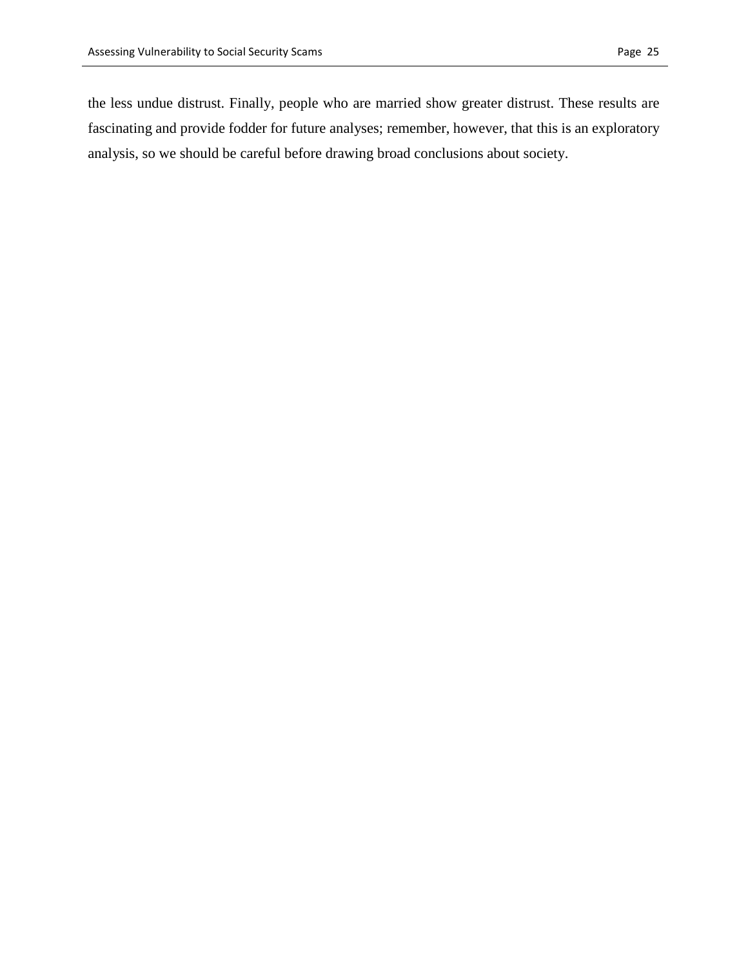the less undue distrust. Finally, people who are married show greater distrust. These results are fascinating and provide fodder for future analyses; remember, however, that this is an exploratory analysis, so we should be careful before drawing broad conclusions about society.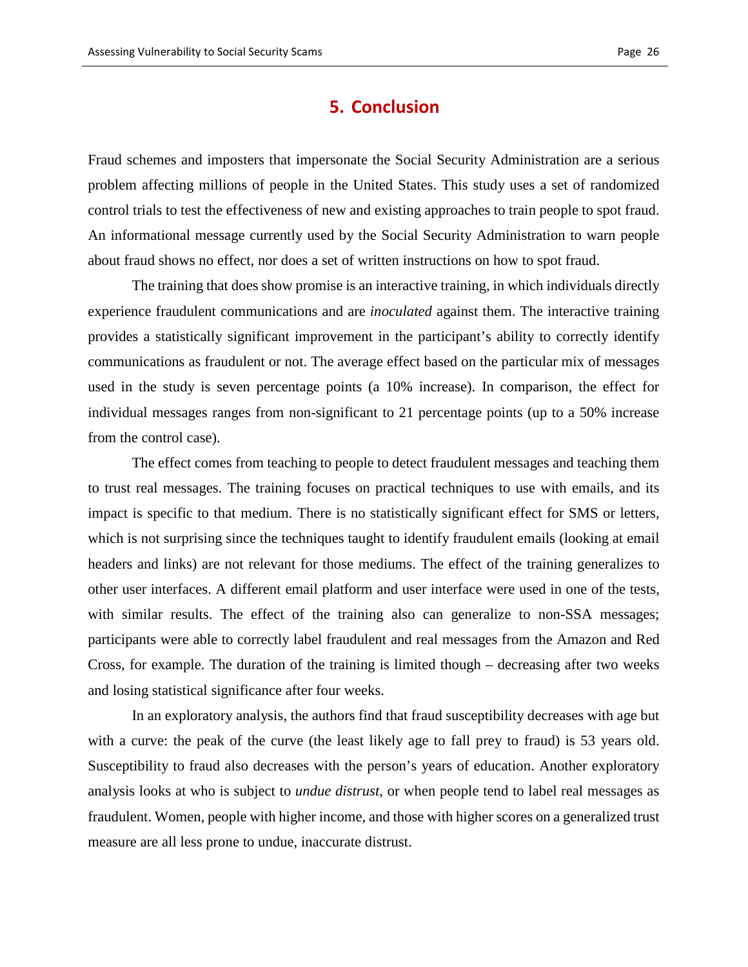### **5. Conclusion**

Fraud schemes and imposters that impersonate the Social Security Administration are a serious problem affecting millions of people in the United States. This study uses a set of randomized control trials to test the effectiveness of new and existing approaches to train people to spot fraud. An informational message currently used by the Social Security Administration to warn people about fraud shows no effect, nor does a set of written instructions on how to spot fraud.

The training that does show promise is an interactive training, in which individuals directly experience fraudulent communications and are *inoculated* against them. The interactive training provides a statistically significant improvement in the participant's ability to correctly identify communications as fraudulent or not. The average effect based on the particular mix of messages used in the study is seven percentage points (a 10% increase). In comparison, the effect for individual messages ranges from non-significant to 21 percentage points (up to a 50% increase from the control case).

The effect comes from teaching to people to detect fraudulent messages and teaching them to trust real messages. The training focuses on practical techniques to use with emails, and its impact is specific to that medium. There is no statistically significant effect for SMS or letters, which is not surprising since the techniques taught to identify fraudulent emails (looking at email headers and links) are not relevant for those mediums. The effect of the training generalizes to other user interfaces. A different email platform and user interface were used in one of the tests, with similar results. The effect of the training also can generalize to non-SSA messages; participants were able to correctly label fraudulent and real messages from the Amazon and Red Cross, for example. The duration of the training is limited though – decreasing after two weeks and losing statistical significance after four weeks.

In an exploratory analysis, the authors find that fraud susceptibility decreases with age but with a curve: the peak of the curve (the least likely age to fall prey to fraud) is 53 years old. Susceptibility to fraud also decreases with the person's years of education. Another exploratory analysis looks at who is subject to *undue distrust*, or when people tend to label real messages as fraudulent. Women, people with higher income, and those with higher scores on a generalized trust measure are all less prone to undue, inaccurate distrust.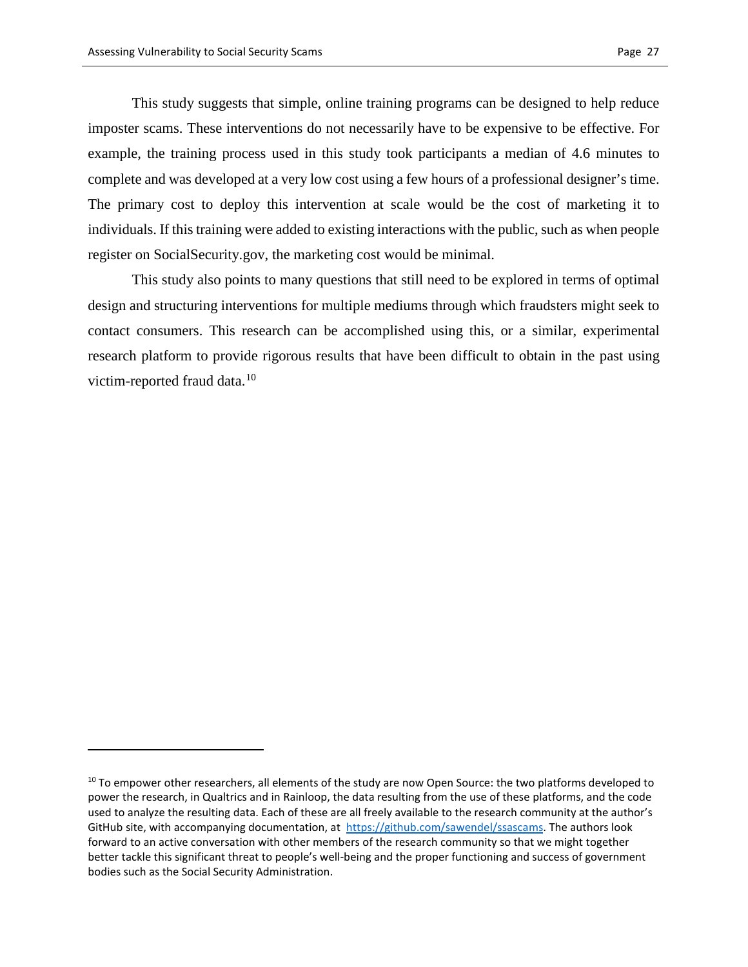$\overline{a}$ 

This study suggests that simple, online training programs can be designed to help reduce imposter scams. These interventions do not necessarily have to be expensive to be effective. For example, the training process used in this study took participants a median of 4.6 minutes to complete and was developed at a very low cost using a few hours of a professional designer's time. The primary cost to deploy this intervention at scale would be the cost of marketing it to individuals. If this training were added to existing interactions with the public, such as when people register on SocialSecurity.gov, the marketing cost would be minimal.

This study also points to many questions that still need to be explored in terms of optimal design and structuring interventions for multiple mediums through which fraudsters might seek to contact consumers. This research can be accomplished using this, or a similar, experimental research platform to provide rigorous results that have been difficult to obtain in the past using victim-reported fraud data.<sup>[10](#page-26-0)</sup>

<span id="page-26-0"></span><sup>&</sup>lt;sup>10</sup> To empower other researchers, all elements of the study are now Open Source: the two platforms developed to power the research, in Qualtrics and in Rainloop, the data resulting from the use of these platforms, and the code used to analyze the resulting data. Each of these are all freely available to the research community at the author's GitHub site, with accompanying documentation, at [https://github.com/sawendel/ssascams.](https://github.com/sawendel/ssascams) The authors look forward to an active conversation with other members of the research community so that we might together better tackle this significant threat to people's well-being and the proper functioning and success of government bodies such as the Social Security Administration.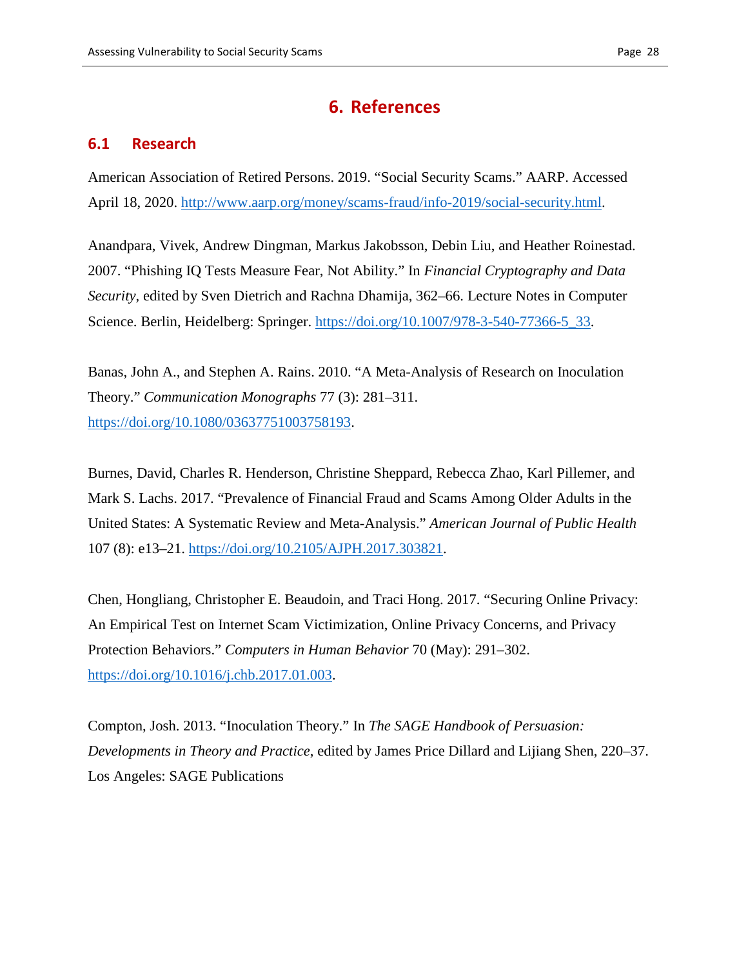# **6. References**

### **6.1 Research**

American Association of Retired Persons. 2019. "Social Security Scams." AARP. Accessed April 18, 2020. [http://www.aarp.org/money/scams-fraud/info-2019/social-security.html.](http://www.aarp.org/money/scams-fraud/info-2019/social-security.html)

Anandpara, Vivek, Andrew Dingman, Markus Jakobsson, Debin Liu, and Heather Roinestad. 2007. "Phishing IQ Tests Measure Fear, Not Ability." In *Financial Cryptography and Data Security*, edited by Sven Dietrich and Rachna Dhamija, 362–66. Lecture Notes in Computer Science. Berlin, Heidelberg: Springer. [https://doi.org/10.1007/978-3-540-77366-5\\_33.](https://doi.org/10.1007/978-3-540-77366-5_33)

Banas, John A., and Stephen A. Rains. 2010. "A Meta-Analysis of Research on Inoculation Theory." *Communication Monographs* 77 (3): 281–311. [https://doi.org/10.1080/03637751003758193.](https://doi.org/10.1080/03637751003758193)

Burnes, David, Charles R. Henderson, Christine Sheppard, Rebecca Zhao, Karl Pillemer, and Mark S. Lachs. 2017. "Prevalence of Financial Fraud and Scams Among Older Adults in the United States: A Systematic Review and Meta-Analysis." *American Journal of Public Health* 107 (8): e13–21. [https://doi.org/10.2105/AJPH.2017.303821.](https://doi.org/10.2105/AJPH.2017.303821)

Chen, Hongliang, Christopher E. Beaudoin, and Traci Hong. 2017. "Securing Online Privacy: An Empirical Test on Internet Scam Victimization, Online Privacy Concerns, and Privacy Protection Behaviors." *Computers in Human Behavior* 70 (May): 291–302. [https://doi.org/10.1016/j.chb.2017.01.003.](https://doi.org/10.1016/j.chb.2017.01.003)

Compton, Josh. 2013. "Inoculation Theory." In *The SAGE Handbook of Persuasion: Developments in Theory and Practice*, edited by James Price Dillard and Lijiang Shen, 220–37. Los Angeles: SAGE Publications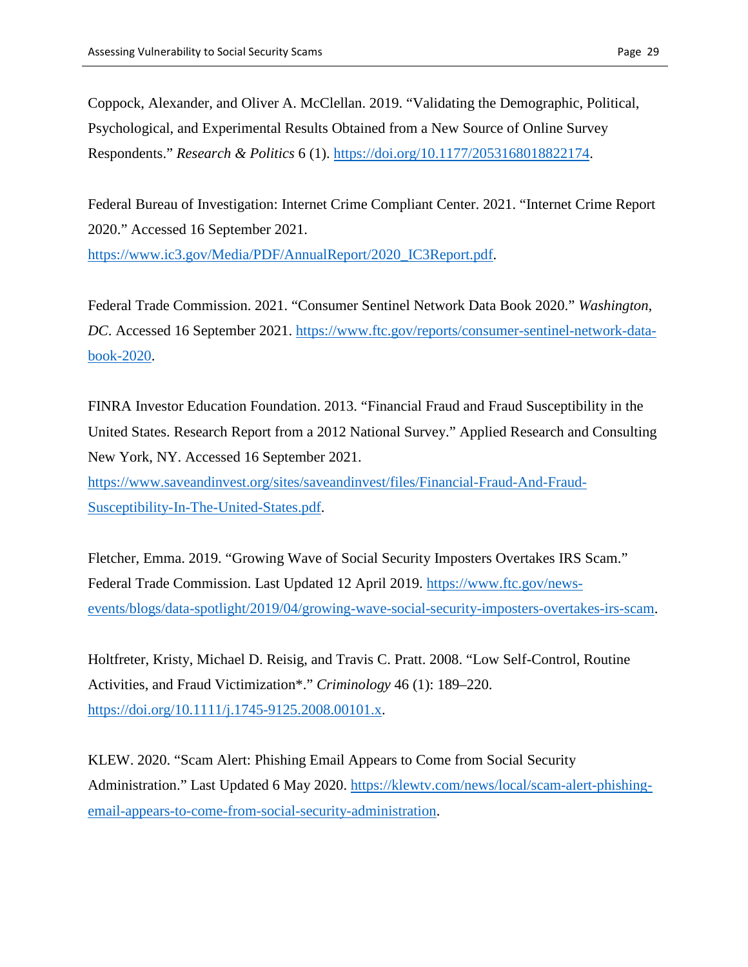Coppock, Alexander, and Oliver A. McClellan. 2019. "Validating the Demographic, Political, Psychological, and Experimental Results Obtained from a New Source of Online Survey Respondents." *Research & Politics* 6 (1). [https://doi.org/10.1177/2053168018822174.](https://doi.org/10.1177/2053168018822174)

Federal Bureau of Investigation: Internet Crime Compliant Center. 2021. "Internet Crime Report 2020." Accessed 16 September 2021.

[https://www.ic3.gov/Media/PDF/AnnualReport/2020\\_IC3Report.pdf.](https://www.ic3.gov/Media/PDF/AnnualReport/2020_IC3Report.pdf)

Federal Trade Commission. 2021. "Consumer Sentinel Network Data Book 2020." *Washington, DC*. Accessed 16 September 2021. [https://www.ftc.gov/reports/consumer-sentinel-network-data](https://www.ftc.gov/reports/consumer-sentinel-network-data-book-2020)[book-2020.](https://www.ftc.gov/reports/consumer-sentinel-network-data-book-2020)

FINRA Investor Education Foundation. 2013. "Financial Fraud and Fraud Susceptibility in the United States. Research Report from a 2012 National Survey." Applied Research and Consulting New York, NY. Accessed 16 September 2021.

[https://www.saveandinvest.org/sites/saveandinvest/files/Financial-Fraud-And-Fraud-](https://www.saveandinvest.org/sites/saveandinvest/files/Financial-Fraud-And-Fraud-Susceptibility-In-The-United-States.pdf)[Susceptibility-In-The-United-States.pdf.](https://www.saveandinvest.org/sites/saveandinvest/files/Financial-Fraud-And-Fraud-Susceptibility-In-The-United-States.pdf)

Fletcher, Emma. 2019. "Growing Wave of Social Security Imposters Overtakes IRS Scam." Federal Trade Commission. Last Updated 12 April 2019. [https://www.ftc.gov/news](https://www.ftc.gov/news-events/blogs/data-spotlight/2019/04/growing-wave-social-security-imposters-overtakes-irs-scam)[events/blogs/data-spotlight/2019/04/growing-wave-social-security-imposters-overtakes-irs-scam.](https://www.ftc.gov/news-events/blogs/data-spotlight/2019/04/growing-wave-social-security-imposters-overtakes-irs-scam)

Holtfreter, Kristy, Michael D. Reisig, and Travis C. Pratt. 2008. "Low Self-Control, Routine Activities, and Fraud Victimization\*." *Criminology* 46 (1): 189–220. [https://doi.org/10.1111/j.1745-9125.2008.00101.x.](https://doi.org/10.1111/j.1745-9125.2008.00101.x)

KLEW. 2020. "Scam Alert: Phishing Email Appears to Come from Social Security Administration." Last Updated 6 May 2020. [https://klewtv.com/news/local/scam-alert-phishing](https://klewtv.com/news/local/scam-alert-phishing-email-appears-to-come-from-social-security-administration)[email-appears-to-come-from-social-security-administration.](https://klewtv.com/news/local/scam-alert-phishing-email-appears-to-come-from-social-security-administration)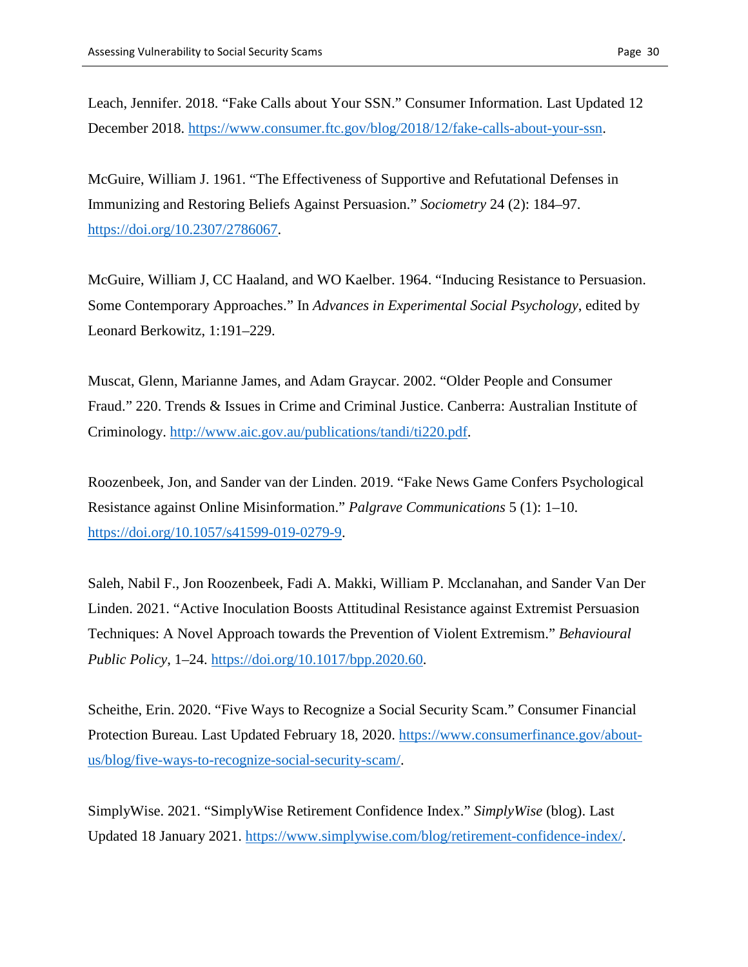Leach, Jennifer. 2018. "Fake Calls about Your SSN." Consumer Information. Last Updated 12 December 2018. [https://www.consumer.ftc.gov/blog/2018/12/fake-calls-about-your-ssn.](https://www.consumer.ftc.gov/blog/2018/12/fake-calls-about-your-ssn)

McGuire, William J. 1961. "The Effectiveness of Supportive and Refutational Defenses in Immunizing and Restoring Beliefs Against Persuasion." *Sociometry* 24 (2): 184–97. [https://doi.org/10.2307/2786067.](https://doi.org/10.2307/2786067)

McGuire, William J, CC Haaland, and WO Kaelber. 1964. "Inducing Resistance to Persuasion. Some Contemporary Approaches." In *Advances in Experimental Social Psychology*, edited by Leonard Berkowitz, 1:191–229.

Muscat, Glenn, Marianne James, and Adam Graycar. 2002. "Older People and Consumer Fraud." 220. Trends & Issues in Crime and Criminal Justice. Canberra: Australian Institute of Criminology. [http://www.aic.gov.au/publications/tandi/ti220.pdf.](http://www.aic.gov.au/publications/tandi/ti220.pdf)

Roozenbeek, Jon, and Sander van der Linden. 2019. "Fake News Game Confers Psychological Resistance against Online Misinformation." *Palgrave Communications* 5 (1): 1–10. [https://doi.org/10.1057/s41599-019-0279-9.](https://doi.org/10.1057/s41599-019-0279-9)

Saleh, Nabil F., Jon Roozenbeek, Fadi A. Makki, William P. Mcclanahan, and Sander Van Der Linden. 2021. "Active Inoculation Boosts Attitudinal Resistance against Extremist Persuasion Techniques: A Novel Approach towards the Prevention of Violent Extremism." *Behavioural Public Policy*, 1–24. [https://doi.org/10.1017/bpp.2020.60.](https://doi.org/10.1017/bpp.2020.60)

Scheithe, Erin. 2020. "Five Ways to Recognize a Social Security Scam." Consumer Financial Protection Bureau. Last Updated February 18, 2020. [https://www.consumerfinance.gov/about](https://www.consumerfinance.gov/about-us/blog/five-ways-to-recognize-social-security-scam/)[us/blog/five-ways-to-recognize-social-security-scam/.](https://www.consumerfinance.gov/about-us/blog/five-ways-to-recognize-social-security-scam/)

SimplyWise. 2021. "SimplyWise Retirement Confidence Index." *SimplyWise* (blog). Last Updated 18 January 2021. [https://www.simplywise.com/blog/retirement-confidence-index/.](https://www.simplywise.com/blog/retirement-confidence-index/)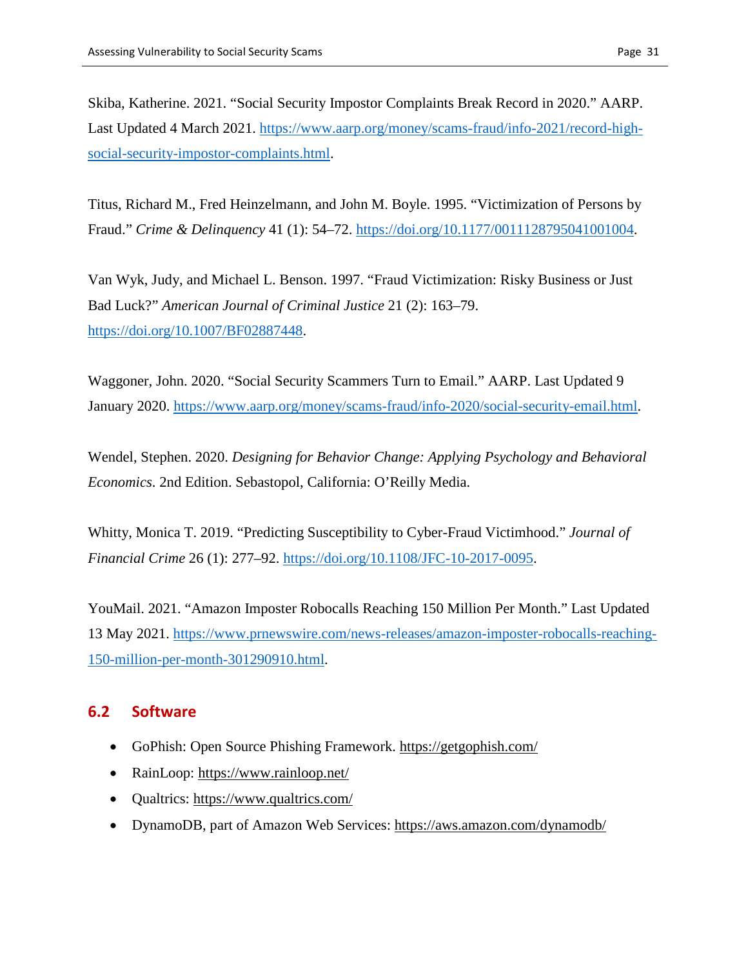Skiba, Katherine. 2021. "Social Security Impostor Complaints Break Record in 2020." AARP. Last Updated 4 March 2021. [https://www.aarp.org/money/scams-fraud/info-2021/record-high](https://www.aarp.org/money/scams-fraud/info-2021/record-high-social-security-impostor-complaints.html)[social-security-impostor-complaints.html.](https://www.aarp.org/money/scams-fraud/info-2021/record-high-social-security-impostor-complaints.html)

Titus, Richard M., Fred Heinzelmann, and John M. Boyle. 1995. "Victimization of Persons by Fraud." *Crime & Delinquency* 41 (1): 54–72. [https://doi.org/10.1177/0011128795041001004.](https://doi.org/10.1177/0011128795041001004)

Van Wyk, Judy, and Michael L. Benson. 1997. "Fraud Victimization: Risky Business or Just Bad Luck?" *American Journal of Criminal Justice* 21 (2): 163–79. [https://doi.org/10.1007/BF02887448.](https://doi.org/10.1007/BF02887448)

Waggoner, John. 2020. "Social Security Scammers Turn to Email." AARP. Last Updated 9 January 2020. [https://www.aarp.org/money/scams-fraud/info-2020/social-security-email.html.](https://www.aarp.org/money/scams-fraud/info-2020/social-security-email.html)

Wendel, Stephen. 2020. *Designing for Behavior Change: Applying Psychology and Behavioral Economics*. 2nd Edition. Sebastopol, California: O'Reilly Media.

Whitty, Monica T. 2019. "Predicting Susceptibility to Cyber-Fraud Victimhood." *Journal of Financial Crime* 26 (1): 277–92. [https://doi.org/10.1108/JFC-10-2017-0095.](https://doi.org/10.1108/JFC-10-2017-0095)

YouMail. 2021. "Amazon Imposter Robocalls Reaching 150 Million Per Month." Last Updated 13 May 2021. [https://www.prnewswire.com/news-releases/amazon-imposter-robocalls-reaching-](https://www.prnewswire.com/news-releases/amazon-imposter-robocalls-reaching-150-million-per-month-301290910.html)[150-million-per-month-301290910.html.](https://www.prnewswire.com/news-releases/amazon-imposter-robocalls-reaching-150-million-per-month-301290910.html)

### **6.2 Software**

- GoPhish: Open Source Phishing Framework.<https://getgophish.com/>
- RainLoop:<https://www.rainloop.net/>
- Qualtrics: https://www.qualtrics.com/
- DynamoDB, part of Amazon Web Services:<https://aws.amazon.com/dynamodb/>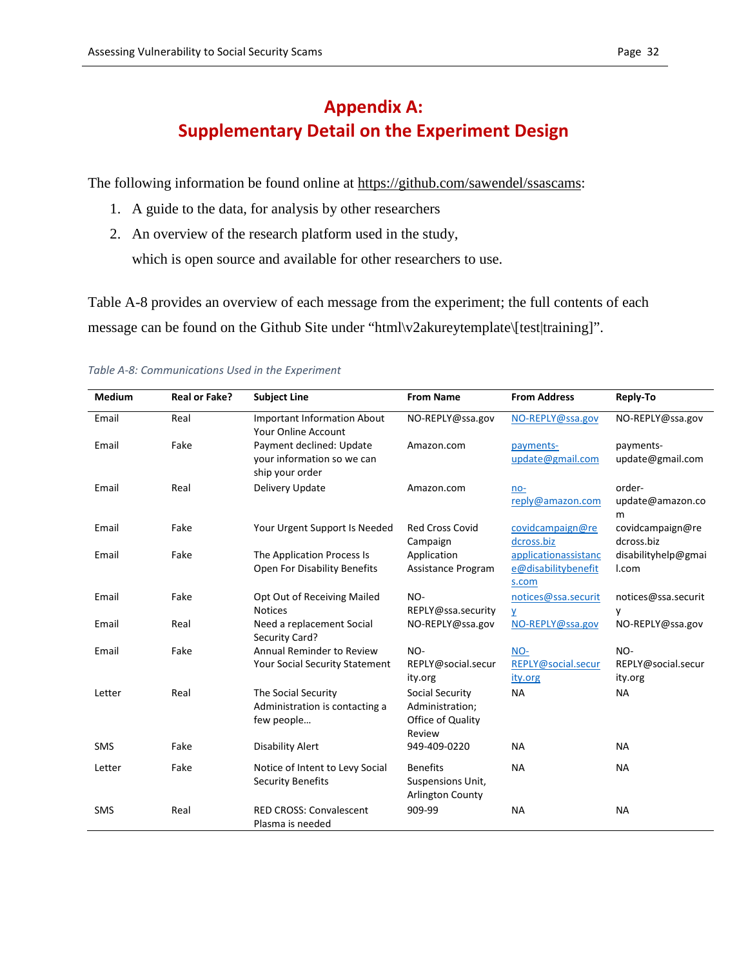# **Appendix A: Supplementary Detail on the Experiment Design**

The following information be found online at [https://github.com/sawendel/ssascams:](https://github.com/sawendel/ssascams)

- 1. A guide to the data, for analysis by other researchers
- 2. An overview of the research platform used in the study, which is open source and available for other researchers to use.

Table A-8 provides an overview of each message from the experiment; the full contents of each message can be found on the Github Site under "html\v2akureytemplate\[test|training]".

| <b>Medium</b> | <b>Real or Fake?</b> | <b>Subject Line</b>                                                       | <b>From Name</b>                                                  | <b>From Address</b>                                  | Reply-To                             |
|---------------|----------------------|---------------------------------------------------------------------------|-------------------------------------------------------------------|------------------------------------------------------|--------------------------------------|
| Email         | Real                 | <b>Important Information About</b><br><b>Your Online Account</b>          | NO-REPLY@ssa.gov                                                  | NO-REPLY@ssa.gov                                     | NO-REPLY@ssa.gov                     |
| Email         | Fake                 | Payment declined: Update<br>your information so we can<br>ship your order | Amazon.com                                                        | payments-<br>update@gmail.com                        | payments-<br>update@gmail.com        |
| Email         | Real                 | Delivery Update                                                           | Amazon.com                                                        | $no-$<br>reply@amazon.com                            | order-<br>update@amazon.co<br>m      |
| Email         | Fake                 | Your Urgent Support Is Needed                                             | <b>Red Cross Covid</b><br>Campaign                                | covidcampaign@re<br>dcross.biz                       | covidcampaign@re<br>dcross.biz       |
| Email         | Fake                 | The Application Process Is<br>Open For Disability Benefits                | Application<br>Assistance Program                                 | applicationassistanc<br>e@disabilitybenefit<br>s.com | disabilityhelp@gmai<br>I.com         |
| Email         | Fake                 | Opt Out of Receiving Mailed<br><b>Notices</b>                             | NO-<br>REPLY@ssa.security                                         | notices@ssa.securit<br>y                             | notices@ssa.securit<br>y             |
| Email         | Real                 | Need a replacement Social<br>Security Card?                               | NO-REPLY@ssa.gov                                                  | NO-REPLY@ssa.gov                                     | NO-REPLY@ssa.gov                     |
| Email         | Fake                 | Annual Reminder to Review<br><b>Your Social Security Statement</b>        | NO-<br>REPLY@social.secur<br>ity.org                              | NO-<br>REPLY@social.secur<br>ity.org                 | NO-<br>REPLY@social.secur<br>ity.org |
| Letter        | Real                 | The Social Security<br>Administration is contacting a<br>few people       | Social Security<br>Administration;<br>Office of Quality<br>Review | <b>NA</b>                                            | <b>NA</b>                            |
| <b>SMS</b>    | Fake                 | <b>Disability Alert</b>                                                   | 949-409-0220                                                      | <b>NA</b>                                            | <b>NA</b>                            |
| Letter        | Fake                 | Notice of Intent to Levy Social<br><b>Security Benefits</b>               | <b>Benefits</b><br>Suspensions Unit,<br><b>Arlington County</b>   | <b>NA</b>                                            | <b>NA</b>                            |
| <b>SMS</b>    | Real                 | <b>RED CROSS: Convalescent</b><br>Plasma is needed                        | 909-99                                                            | <b>NA</b>                                            | <b>NA</b>                            |

#### *Table A-8: Communications Used in the Experiment*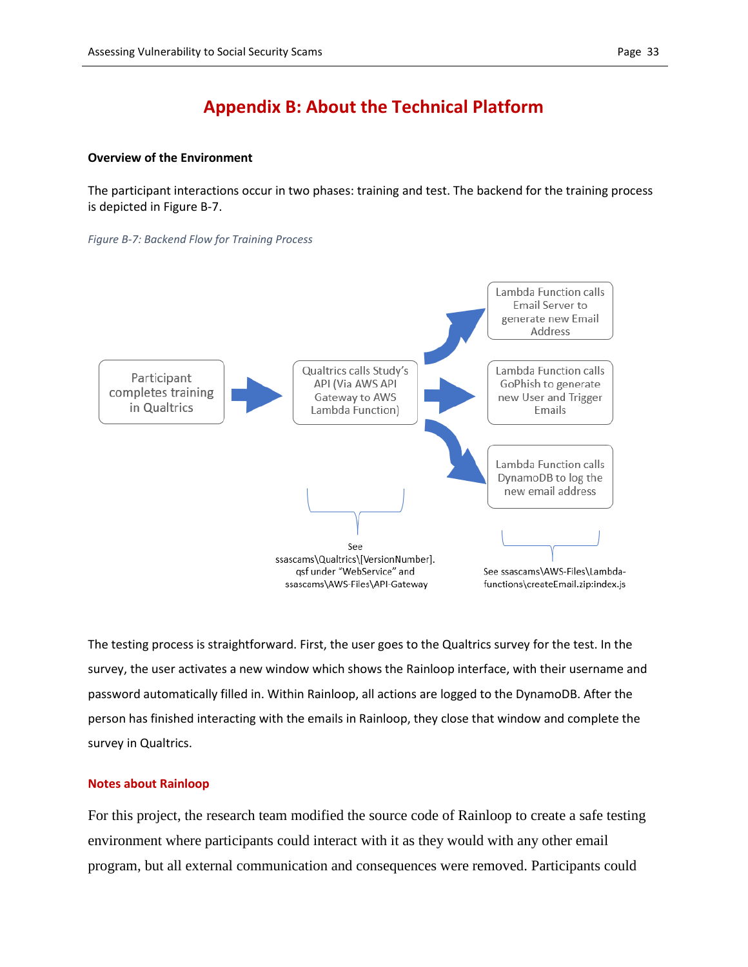# **Appendix B: About the Technical Platform**

#### **Overview of the Environment**

The participant interactions occur in two phases: training and test. The backend for the training process is depicted in Figure B-7.

#### *Figure B-7: Backend Flow for Training Process*



The testing process is straightforward. First, the user goes to the Qualtrics survey for the test. In the survey, the user activates a new window which shows the Rainloop interface, with their username and password automatically filled in. Within Rainloop, all actions are logged to the DynamoDB. After the person has finished interacting with the emails in Rainloop, they close that window and complete the survey in Qualtrics.

#### **Notes about Rainloop**

For this project, the research team modified the source code of Rainloop to create a safe testing environment where participants could interact with it as they would with any other email program, but all external communication and consequences were removed. Participants could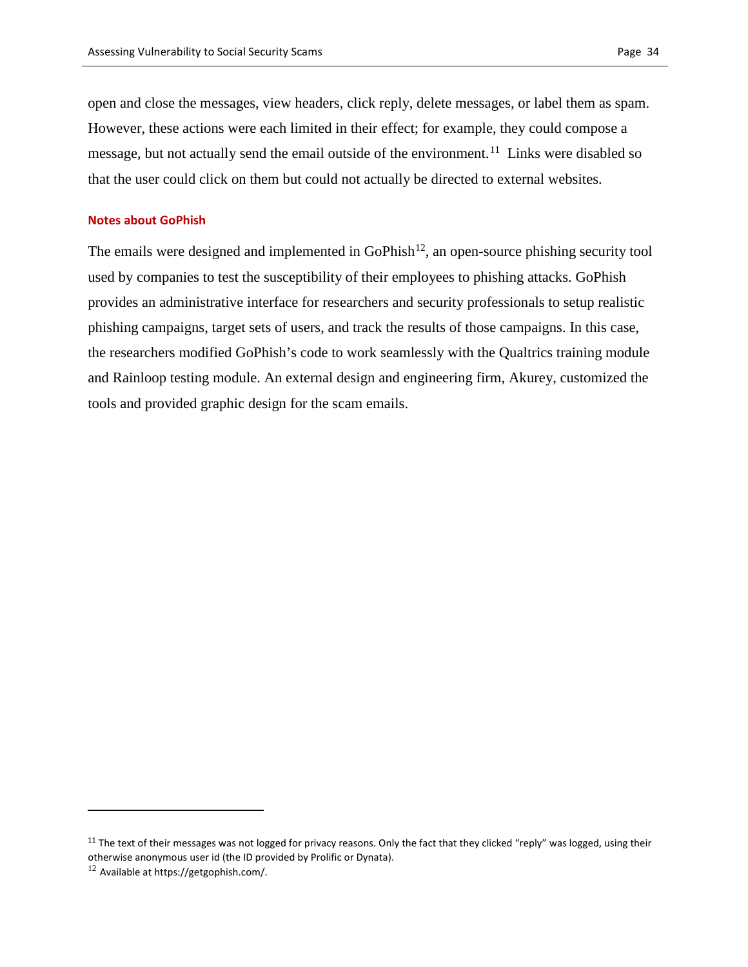open and close the messages, view headers, click reply, delete messages, or label them as spam. However, these actions were each limited in their effect; for example, they could compose a message, but not actually send the email outside of the environment.<sup>[11](#page-33-0)</sup> Links were disabled so that the user could click on them but could not actually be directed to external websites.

#### **Notes about GoPhish**

The emails were designed and implemented in GoPhish<sup>[12](#page-33-1)</sup>, an open-source phishing security tool used by companies to test the susceptibility of their employees to phishing attacks. GoPhish provides an administrative interface for researchers and security professionals to setup realistic phishing campaigns, target sets of users, and track the results of those campaigns. In this case, the researchers modified GoPhish's code to work seamlessly with the Qualtrics training module and Rainloop testing module. An external design and engineering firm, Akurey, customized the tools and provided graphic design for the scam emails.

 $\overline{a}$ 

<span id="page-33-0"></span> $11$  The text of their messages was not logged for privacy reasons. Only the fact that they clicked "reply" was logged, using their otherwise anonymous user id (the ID provided by Prolific or Dynata).

<span id="page-33-1"></span> $12$  Available a[t https://getgophish.com/.](https://getgophish.com/)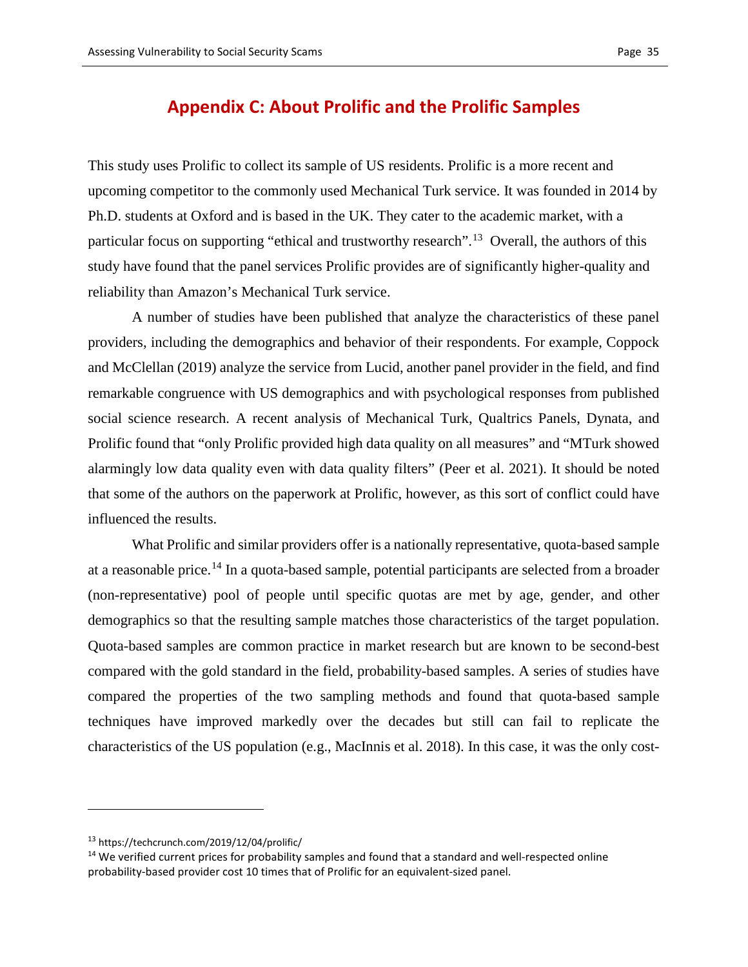### **Appendix C: About Prolific and the Prolific Samples**

This study uses Prolific to collect its sample of US residents. Prolific is a more recent and upcoming competitor to the commonly used Mechanical Turk service. It was founded in 2014 by Ph.D. students at Oxford and is based in the UK. They cater to the academic market, with a particular focus on supporting "ethical and trustworthy research".<sup>[13](#page-34-0)</sup> Overall, the authors of this study have found that the panel services Prolific provides are of significantly higher-quality and reliability than Amazon's Mechanical Turk service.

A number of studies have been published that analyze the characteristics of these panel providers, including the demographics and behavior of their respondents. For example, Coppock and McClellan (2019) analyze the service from Lucid, another panel provider in the field, and find remarkable congruence with US demographics and with psychological responses from published social science research. A recent analysis of Mechanical Turk, Qualtrics Panels, Dynata, and Prolific found that "only Prolific provided high data quality on all measures" and "MTurk showed alarmingly low data quality even with data quality filters" (Peer et al. 2021). It should be noted that some of the authors on the paperwork at Prolific, however, as this sort of conflict could have influenced the results.

What Prolific and similar providers offer is a nationally representative, quota-based sample at a reasonable price.<sup>[14](#page-34-1)</sup> In a quota-based sample, potential participants are selected from a broader (non-representative) pool of people until specific quotas are met by age, gender, and other demographics so that the resulting sample matches those characteristics of the target population. Quota-based samples are common practice in market research but are known to be second-best compared with the gold standard in the field, probability-based samples. A series of studies have compared the properties of the two sampling methods and found that quota-based sample techniques have improved markedly over the decades but still can fail to replicate the characteristics of the US population (e.g., MacInnis et al. 2018). In this case, it was the only cost-

 $\overline{a}$ 

<span id="page-34-0"></span><sup>13</sup> https://techcrunch.com/2019/12/04/prolific/

<span id="page-34-1"></span><sup>&</sup>lt;sup>14</sup> We verified current prices for probability samples and found that a standard and well-respected online probability-based provider cost 10 times that of Prolific for an equivalent-sized panel.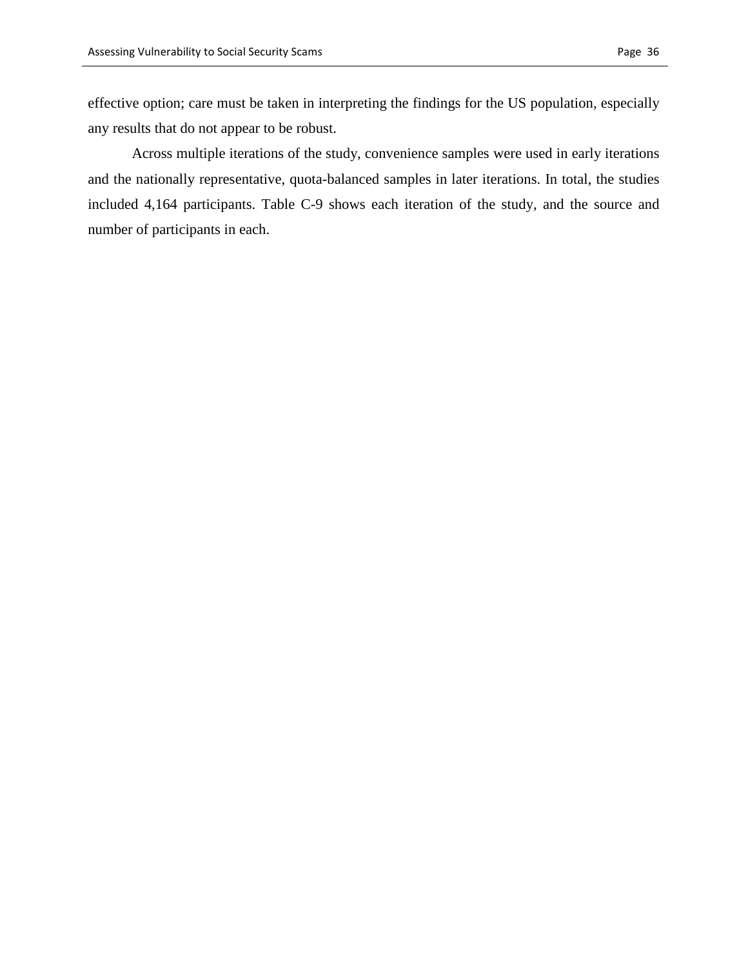effective option; care must be taken in interpreting the findings for the US population, especially any results that do not appear to be robust.

Across multiple iterations of the study, convenience samples were used in early iterations and the nationally representative, quota-balanced samples in later iterations. In total, the studies included 4,164 participants. Table C-9 shows each iteration of the study, and the source and number of participants in each.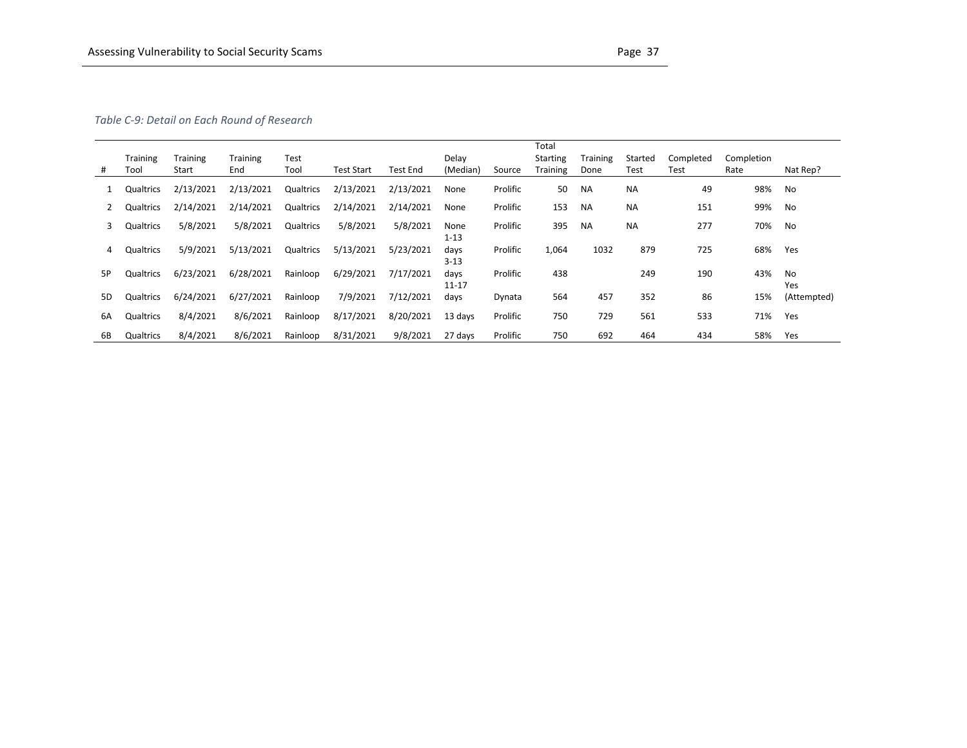#### *Table C-9: Detail on Each Round of Research*

|    |                  |                          |                        |              |                   |           |                   |          | Total                       |                  |                 |           |                    |             |
|----|------------------|--------------------------|------------------------|--------------|-------------------|-----------|-------------------|----------|-----------------------------|------------------|-----------------|-----------|--------------------|-------------|
|    | Training<br>Tool | <b>Training</b><br>Start | <b>Training</b><br>End | Test<br>Tool | <b>Test Start</b> | Test End  | Delay<br>(Median) | Source   | <b>Starting</b><br>Training | Training<br>Done | Started<br>Test | Completed | Completion<br>Rate | Nat Rep?    |
| #  |                  |                          |                        |              |                   |           |                   |          |                             |                  |                 | Test      |                    |             |
|    | Qualtrics        | 2/13/2021                | 2/13/2021              | Qualtrics    | 2/13/2021         | 2/13/2021 | None              | Prolific | 50                          | <b>NA</b>        | <b>NA</b>       | 49        | 98%                | No          |
|    | Qualtrics        | 2/14/2021                | 2/14/2021              | Qualtrics    | 2/14/2021         | 2/14/2021 | None              | Prolific | 153                         | <b>NA</b>        | <b>NA</b>       | 151       | 99%                | No          |
| 3  | Qualtrics        | 5/8/2021                 | 5/8/2021               | Qualtrics    | 5/8/2021          | 5/8/2021  | None              | Prolific | 395                         | <b>NA</b>        | NA              | 277       | 70%                | No          |
|    |                  |                          |                        |              |                   |           | $1 - 13$          |          |                             |                  |                 |           |                    |             |
| 4  | Qualtrics        | 5/9/2021                 | 5/13/2021              | Qualtrics    | 5/13/2021         | 5/23/2021 | days              | Prolific | 1,064                       | 1032             | 879             | 725       | 68%                | Yes         |
|    |                  |                          |                        |              |                   |           | $3 - 13$          |          |                             |                  |                 |           |                    |             |
| 5P | Qualtrics        | 6/23/2021                | 6/28/2021              | Rainloop     | 6/29/2021         | 7/17/2021 | days              | Prolific | 438                         |                  | 249             | 190       | 43%                | No          |
|    |                  |                          |                        |              |                   |           | $11 - 17$         |          |                             |                  |                 |           |                    | Yes         |
| 5D | Qualtrics        | 6/24/2021                | 6/27/2021              | Rainloop     | 7/9/2021          | 7/12/2021 | days              | Dynata   | 564                         | 457              | 352             | 86        | 15%                | (Attempted) |
|    |                  |                          |                        |              |                   |           |                   |          |                             |                  |                 |           |                    |             |
| 6A | Qualtrics        | 8/4/2021                 | 8/6/2021               | Rainloop     | 8/17/2021         | 8/20/2021 | 13 days           | Prolific | 750                         | 729              | 561             | 533       | 71%                | Yes         |
|    |                  |                          |                        |              |                   |           |                   |          |                             |                  |                 |           |                    |             |
| 6B | Qualtrics        | 8/4/2021                 | 8/6/2021               | Rainloop     | 8/31/2021         | 9/8/2021  | 27 days           | Prolific | 750                         | 692              | 464             | 434       | 58%                | Yes         |